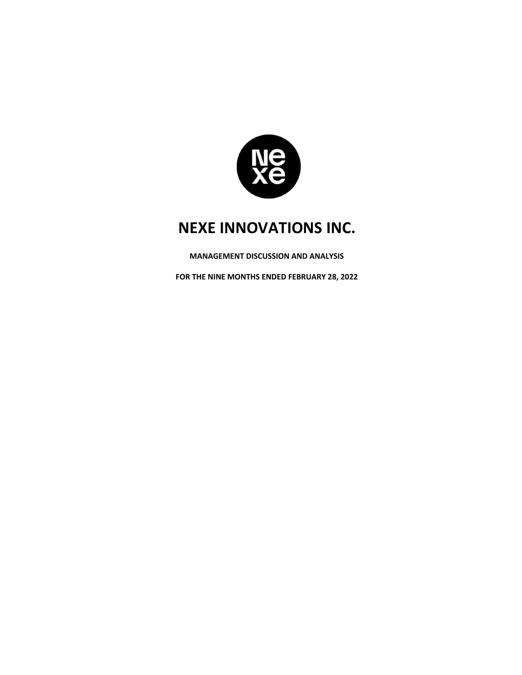

**MANAGEMENT DISCUSSION AND ANALYSIS**

**FOR THE NINE MONTHS ENDED FEBRUARY 28, 2022**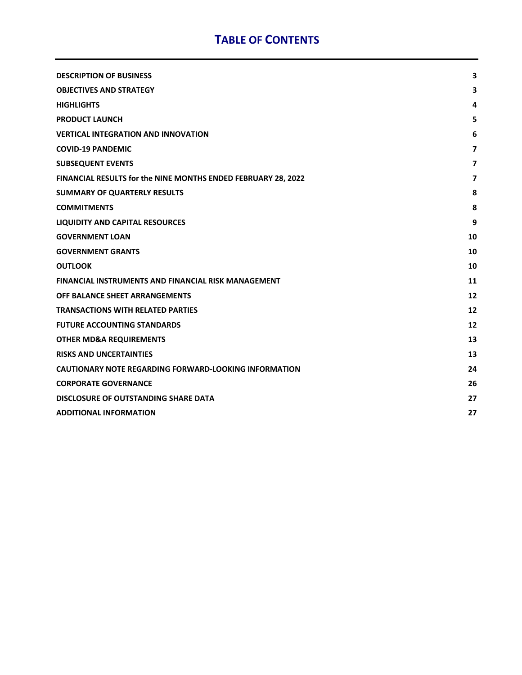## **TABLE OF CONTENTS**

| <b>DESCRIPTION OF BUSINESS</b>                                | 3                        |
|---------------------------------------------------------------|--------------------------|
| <b>OBJECTIVES AND STRATEGY</b>                                | 3                        |
| <b>HIGHLIGHTS</b>                                             | 4                        |
| <b>PRODUCT LAUNCH</b>                                         | 5                        |
| <b>VERTICAL INTEGRATION AND INNOVATION</b>                    | 6                        |
| <b>COVID-19 PANDEMIC</b>                                      | $\overline{ }$           |
| <b>SUBSEQUENT EVENTS</b>                                      | $\overline{ }$           |
| FINANCIAL RESULTS for the NINE MONTHS ENDED FEBRUARY 28, 2022 | $\overline{\phantom{a}}$ |
| <b>SUMMARY OF QUARTERLY RESULTS</b>                           | 8                        |
| <b>COMMITMENTS</b>                                            | 8                        |
| <b>LIQUIDITY AND CAPITAL RESOURCES</b>                        | 9                        |
| <b>GOVERNMENT LOAN</b>                                        | 10                       |
| <b>GOVERNMENT GRANTS</b>                                      | 10                       |
| <b>OUTLOOK</b>                                                | 10                       |
| <b>FINANCIAL INSTRUMENTS AND FINANCIAL RISK MANAGEMENT</b>    | 11                       |
| OFF BALANCE SHEET ARRANGEMENTS                                | 12                       |
| <b>TRANSACTIONS WITH RELATED PARTIES</b>                      | 12                       |
| <b>FUTURE ACCOUNTING STANDARDS</b>                            | 12                       |
| <b>OTHER MD&amp;A REQUIREMENTS</b>                            | 13                       |
| <b>RISKS AND UNCERTAINTIES</b>                                | 13                       |
| <b>CAUTIONARY NOTE REGARDING FORWARD-LOOKING INFORMATION</b>  | 24                       |
| <b>CORPORATE GOVERNANCE</b>                                   | 26                       |
| DISCLOSURE OF OUTSTANDING SHARE DATA                          | 27                       |
| <b>ADDITIONAL INFORMATION</b>                                 | 27                       |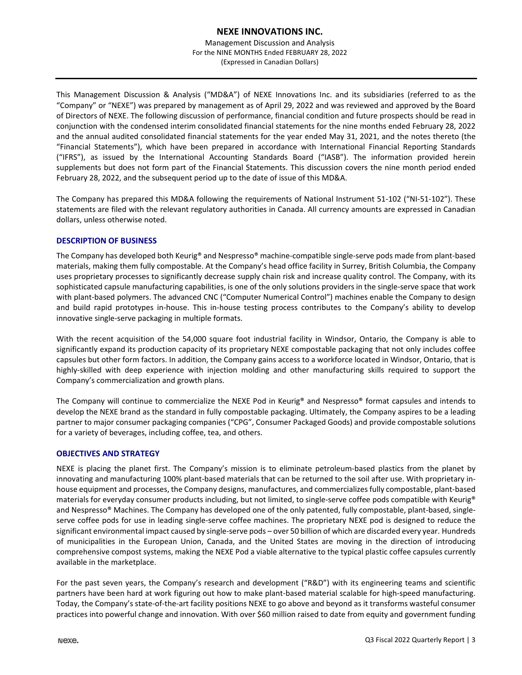Management Discussion and Analysis For the NINE MONTHS Ended FEBRUARY 28, 2022 (Expressed in Canadian Dollars)

This Management Discussion & Analysis ("MD&A") of NEXE Innovations Inc. and its subsidiaries (referred to as the "Company" or "NEXE") was prepared by management as of April 29, 2022 and was reviewed and approved by the Board of Directors of NEXE. The following discussion of performance, financial condition and future prospects should be read in conjunction with the condensed interim consolidated financial statements for the nine months ended February 28, 2022 and the annual audited consolidated financial statements for the year ended May 31, 2021, and the notes thereto (the "Financial Statements"), which have been prepared in accordance with International Financial Reporting Standards ("IFRS"), as issued by the International Accounting Standards Board ("IASB"). The information provided herein supplements but does not form part of the Financial Statements. This discussion covers the nine month period ended February 28, 2022, and the subsequent period up to the date of issue of this MD&A.

The Company has prepared this MD&A following the requirements of National Instrument 51‐102 ("NI‐51‐102"). These statements are filed with the relevant regulatory authorities in Canada. All currency amounts are expressed in Canadian dollars, unless otherwise noted.

## **DESCRIPTION OF BUSINESS**

The Company has developed both Keurig® and Nespresso® machine‐compatible single‐serve pods made from plant‐based materials, making them fully compostable. At the Company's head office facility in Surrey, British Columbia, the Company uses proprietary processes to significantly decrease supply chain risk and increase quality control. The Company, with its sophisticated capsule manufacturing capabilities, is one of the only solutions providers in the single-serve space that work with plant-based polymers. The advanced CNC ("Computer Numerical Control") machines enable the Company to design and build rapid prototypes in-house. This in-house testing process contributes to the Company's ability to develop innovative single‐serve packaging in multiple formats.

With the recent acquisition of the 54,000 square foot industrial facility in Windsor, Ontario, the Company is able to significantly expand its production capacity of its proprietary NEXE compostable packaging that not only includes coffee capsules but other form factors. In addition, the Company gains access to a workforce located in Windsor, Ontario, that is highly-skilled with deep experience with injection molding and other manufacturing skills required to support the Company's commercialization and growth plans.

The Company will continue to commercialize the NEXE Pod in Keurig® and Nespresso® format capsules and intends to develop the NEXE brand as the standard in fully compostable packaging. Ultimately, the Company aspires to be a leading partner to major consumer packaging companies ("CPG", Consumer Packaged Goods) and provide compostable solutions for a variety of beverages, including coffee, tea, and others.

## **OBJECTIVES AND STRATEGY**

NEXE is placing the planet first. The Company's mission is to eliminate petroleum‐based plastics from the planet by innovating and manufacturing 100% plant-based materials that can be returned to the soil after use. With proprietary inhouse equipment and processes, the Company designs, manufactures, and commercializesfully compostable, plant‐based materials for everyday consumer products including, but not limited, to single-serve coffee pods compatible with Keurig® and Nespresso<sup>®</sup> Machines. The Company has developed one of the only patented, fully compostable, plant-based, singleserve coffee pods for use in leading single-serve coffee machines. The proprietary NEXE pod is designed to reduce the significant environmental impact caused by single-serve pods – over 50 billion of which are discarded every year. Hundreds of municipalities in the European Union, Canada, and the United States are moving in the direction of introducing comprehensive compost systems, making the NEXE Pod a viable alternative to the typical plastic coffee capsules currently available in the marketplace.

For the past seven years, the Company's research and development ("R&D") with its engineering teams and scientific partners have been hard at work figuring out how to make plant‐based material scalable for high‐speed manufacturing. Today, the Company's state‐of‐the‐art facility positions NEXE to go above and beyond as it transforms wasteful consumer practices into powerful change and innovation. With over \$60 million raised to date from equity and government funding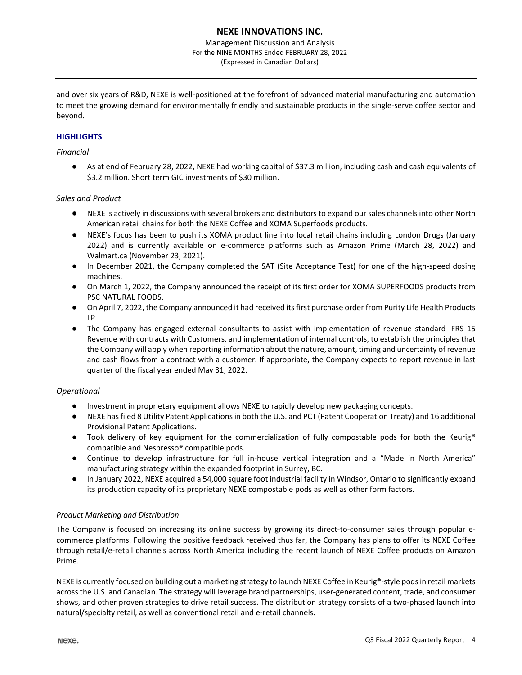Management Discussion and Analysis For the NINE MONTHS Ended FEBRUARY 28, 2022 (Expressed in Canadian Dollars)

and over six years of R&D, NEXE is well‐positioned at the forefront of advanced material manufacturing and automation to meet the growing demand for environmentally friendly and sustainable products in the single‐serve coffee sector and beyond.

## **HIGHLIGHTS**

## *Financial*

● As at end of February 28, 2022, NEXE had working capital of \$37.3 million, including cash and cash equivalents of \$3.2 million. Short term GIC investments of \$30 million.

#### *Sales and Product*

- NEXE is actively in discussions with several brokers and distributors to expand our sales channels into other North American retail chains for both the NEXE Coffee and XOMA Superfoods products.
- NEXE's focus has been to push its XOMA product line into local retail chains including London Drugs (January 2022) and is currently available on e‐commerce platforms such as Amazon Prime (March 28, 2022) and Walmart.ca (November 23, 2021).
- In December 2021, the Company completed the SAT (Site Acceptance Test) for one of the high-speed dosing machines.
- On March 1, 2022, the Company announced the receipt of its first order for XOMA SUPERFOODS products from PSC NATURAL FOODS.
- On April 7, 2022, the Company announced it had received its first purchase order from Purity Life Health Products LP.
- The Company has engaged external consultants to assist with implementation of revenue standard IFRS 15 Revenue with contracts with Customers, and implementation of internal controls, to establish the principles that the Company will apply when reporting information about the nature, amount, timing and uncertainty of revenue and cash flows from a contract with a customer. If appropriate, the Company expects to report revenue in last quarter of the fiscal year ended May 31, 2022.

## *Operational*

- Investment in proprietary equipment allows NEXE to rapidly develop new packaging concepts.
- NEXE has filed 8 Utility Patent Applications in both the U.S. and PCT (Patent Cooperation Treaty) and 16 additional Provisional Patent Applications.
- Took delivery of key equipment for the commercialization of fully compostable pods for both the Keurig® compatible and Nespresso® compatible pods.
- Continue to develop infrastructure for full in-house vertical integration and a "Made in North America" manufacturing strategy within the expanded footprint in Surrey, BC.
- In January 2022, NEXE acquired a 54,000 square foot industrial facility in Windsor, Ontario to significantly expand its production capacity of its proprietary NEXE compostable pods as well as other form factors.

#### *Product Marketing and Distribution*

The Company is focused on increasing its online success by growing its direct-to-consumer sales through popular ecommerce platforms. Following the positive feedback received thus far, the Company has plans to offer its NEXE Coffee through retail/e‐retail channels across North America including the recent launch of NEXE Coffee products on Amazon Prime.

NEXE is currently focused on building out a marketing strategy to launch NEXE Coffee in Keurig®-style pods in retail markets across the U.S. and Canadian. The strategy will leverage brand partnerships, user‐generated content, trade, and consumer shows, and other proven strategies to drive retail success. The distribution strategy consists of a two‐phased launch into natural/specialty retail, as well as conventional retail and e‐retail channels.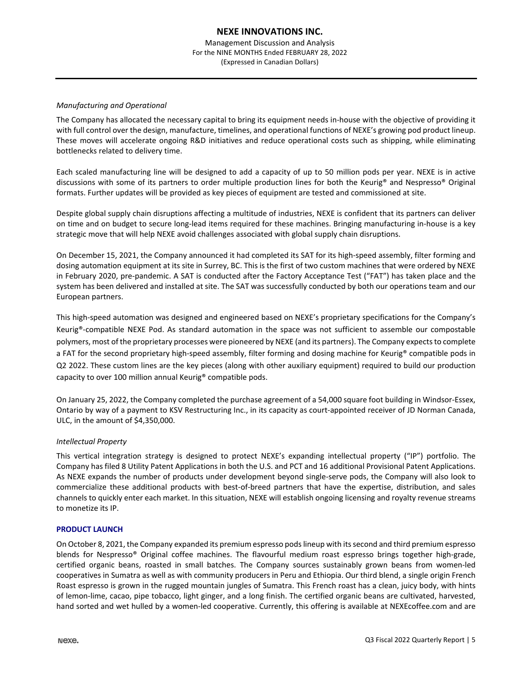Management Discussion and Analysis For the NINE MONTHS Ended FEBRUARY 28, 2022 (Expressed in Canadian Dollars)

## *Manufacturing and Operational*

The Company has allocated the necessary capital to bring its equipment needs in‐house with the objective of providing it with full control over the design, manufacture, timelines, and operational functions of NEXE's growing pod product lineup. These moves will accelerate ongoing R&D initiatives and reduce operational costs such as shipping, while eliminating bottlenecks related to delivery time.

Each scaled manufacturing line will be designed to add a capacity of up to 50 million pods per year. NEXE is in active discussions with some of its partners to order multiple production lines for both the Keurig® and Nespresso® Original formats. Further updates will be provided as key pieces of equipment are tested and commissioned at site.

Despite global supply chain disruptions affecting a multitude of industries, NEXE is confident that its partners can deliver on time and on budget to secure long‐lead items required for these machines. Bringing manufacturing in‐house is a key strategic move that will help NEXE avoid challenges associated with global supply chain disruptions.

On December 15, 2021, the Company announced it had completed its SAT for its high‐speed assembly, filter forming and dosing automation equipment at its site in Surrey, BC. This is the first of two custom machines that were ordered by NEXE in February 2020, pre‐pandemic. A SAT is conducted after the Factory Acceptance Test ("FAT") has taken place and the system has been delivered and installed at site. The SAT was successfully conducted by both our operations team and our European partners.

This high‐speed automation was designed and engineered based on NEXE's proprietary specifications for the Company's Keurig®‐compatible NEXE Pod. As standard automation in the space was not sufficient to assemble our compostable polymers, most of the proprietary processes were pioneered by NEXE (and its partners). The Company expects to complete a FAT for the second proprietary high-speed assembly, filter forming and dosing machine for Keurig<sup>®</sup> compatible pods in Q2 2022. These custom lines are the key pieces (along with other auxiliary equipment) required to build our production capacity to over 100 million annual Keurig® compatible pods.

On January 25, 2022, the Company completed the purchase agreement of a 54,000 square foot building in Windsor‐Essex, Ontario by way of a payment to KSV Restructuring Inc., in its capacity as court-appointed receiver of JD Norman Canada, ULC, in the amount of \$4,350,000.

## *Intellectual Property*

This vertical integration strategy is designed to protect NEXE's expanding intellectual property ("IP") portfolio. The Company has filed 8 Utility Patent Applications in both the U.S. and PCT and 16 additional Provisional Patent Applications. As NEXE expands the number of products under development beyond single‐serve pods, the Company will also look to commercialize these additional products with best‐of‐breed partners that have the expertise, distribution, and sales channels to quickly enter each market. In this situation, NEXE will establish ongoing licensing and royalty revenue streams to monetize its IP.

#### **PRODUCT LAUNCH**

On October 8, 2021, the Company expanded its premium espresso podslineup with itssecond and third premium espresso blends for Nespresso<sup>®</sup> Original coffee machines. The flavourful medium roast espresso brings together high-grade, certified organic beans, roasted in small batches. The Company sources sustainably grown beans from women‐led cooperatives in Sumatra as well as with community producers in Peru and Ethiopia. Our third blend, a single origin French Roast espresso is grown in the rugged mountain jungles of Sumatra. This French roast has a clean, juicy body, with hints of lemon‐lime, cacao, pipe tobacco, light ginger, and a long finish. The certified organic beans are cultivated, harvested, hand sorted and wet hulled by a women-led cooperative. Currently, this offering is available at NEXEcoffee.com and are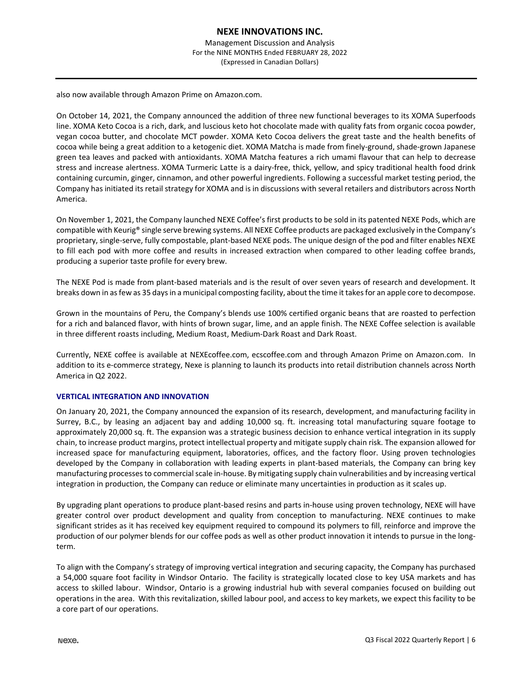also now available through Amazon Prime on Amazon.com.

On October 14, 2021, the Company announced the addition of three new functional beverages to its XOMA Superfoods line. XOMA Keto Cocoa is a rich, dark, and luscious keto hot chocolate made with quality fats from organic cocoa powder, vegan cocoa butter, and chocolate MCT powder. XOMA Keto Cocoa delivers the great taste and the health benefits of cocoa while being a great addition to a ketogenic diet. XOMA Matcha is made from finely‐ground, shade‐grown Japanese green tea leaves and packed with antioxidants. XOMA Matcha features a rich umami flavour that can help to decrease stress and increase alertness. XOMA Turmeric Latte is a dairy‐free, thick, yellow, and spicy traditional health food drink containing curcumin, ginger, cinnamon, and other powerful ingredients. Following a successful market testing period, the Company has initiated its retail strategy for XOMA and is in discussions with several retailers and distributors across North America.

On November 1, 2021, the Company launched NEXE Coffee's first products to be sold in its patented NEXE Pods, which are compatible with Keurig® single serve brewing systems. All NEXE Coffee products are packaged exclusively in the Company's proprietary, single‐serve, fully compostable, plant‐based NEXE pods. The unique design of the pod and filter enables NEXE to fill each pod with more coffee and results in increased extraction when compared to other leading coffee brands, producing a superior taste profile for every brew.

The NEXE Pod is made from plant‐based materials and is the result of over seven years of research and development. It breaks down in asfew as 35 daysin a municipal composting facility, about the time it takesfor an apple core to decompose.

Grown in the mountains of Peru, the Company's blends use 100% certified organic beans that are roasted to perfection for a rich and balanced flavor, with hints of brown sugar, lime, and an apple finish. The NEXE Coffee selection is available in three different roasts including, Medium Roast, Medium‐Dark Roast and Dark Roast.

Currently, NEXE coffee is available at NEXEcoffee.com, ecscoffee.com and through Amazon Prime on Amazon.com. In addition to its e-commerce strategy, Nexe is planning to launch its products into retail distribution channels across North America in Q2 2022.

#### **VERTICAL INTEGRATION AND INNOVATION**

On January 20, 2021, the Company announced the expansion of its research, development, and manufacturing facility in Surrey, B.C., by leasing an adjacent bay and adding 10,000 sq. ft. increasing total manufacturing square footage to approximately 20,000 sq. ft. The expansion was a strategic business decision to enhance vertical integration in its supply chain, to increase product margins, protect intellectual property and mitigate supply chain risk. The expansion allowed for increased space for manufacturing equipment, laboratories, offices, and the factory floor. Using proven technologies developed by the Company in collaboration with leading experts in plant‐based materials, the Company can bring key manufacturing processes to commercial scale in-house. By mitigating supply chain vulnerabilities and by increasing vertical integration in production, the Company can reduce or eliminate many uncertainties in production as it scales up.

By upgrading plant operations to produce plant‐based resins and parts in‐house using proven technology, NEXE will have greater control over product development and quality from conception to manufacturing. NEXE continues to make significant strides as it has received key equipment required to compound its polymers to fill, reinforce and improve the production of our polymer blends for our coffee pods as well as other product innovation it intends to pursue in the longterm.

To align with the Company's strategy of improving vertical integration and securing capacity, the Company has purchased a 54,000 square foot facility in Windsor Ontario. The facility is strategically located close to key USA markets and has access to skilled labour. Windsor, Ontario is a growing industrial hub with several companies focused on building out operations in the area. With this revitalization, skilled labour pool, and access to key markets, we expect this facility to be a core part of our operations.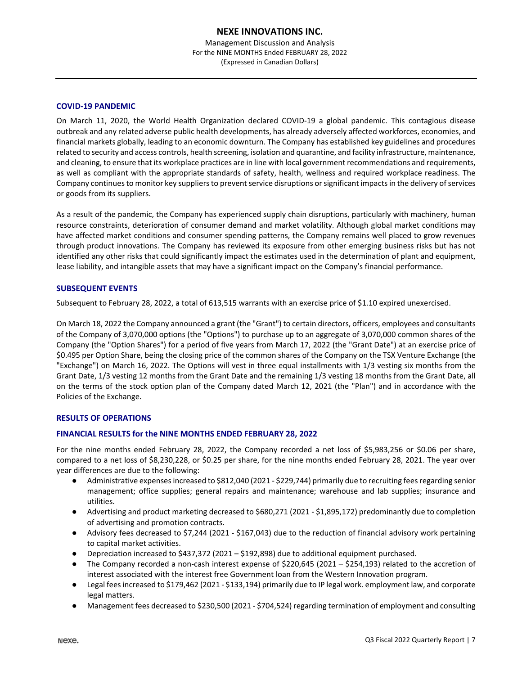## **COVID‐19 PANDEMIC**

On March 11, 2020, the World Health Organization declared COVID‐19 a global pandemic. This contagious disease outbreak and any related adverse public health developments, has already adversely affected workforces, economies, and financial markets globally, leading to an economic downturn. The Company has established key guidelines and procedures related to security and access controls, health screening, isolation and quarantine, and facility infrastructure, maintenance, and cleaning, to ensure that its workplace practices are in line with local government recommendations and requirements, as well as compliant with the appropriate standards of safety, health, wellness and required workplace readiness. The Company continues to monitor key suppliers to prevent service disruptions or significant impacts in the delivery of services or goods from its suppliers.

As a result of the pandemic, the Company has experienced supply chain disruptions, particularly with machinery, human resource constraints, deterioration of consumer demand and market volatility. Although global market conditions may have affected market conditions and consumer spending patterns, the Company remains well placed to grow revenues through product innovations. The Company has reviewed its exposure from other emerging business risks but has not identified any other risks that could significantly impact the estimates used in the determination of plant and equipment, lease liability, and intangible assets that may have a significant impact on the Company's financial performance.

## **SUBSEQUENT EVENTS**

Subsequent to February 28, 2022, a total of 613,515 warrants with an exercise price of \$1.10 expired unexercised.

On March 18, 2022 the Company announced a grant (the "Grant") to certain directors, officers, employees and consultants of the Company of 3,070,000 options (the "Options") to purchase up to an aggregate of 3,070,000 common shares of the Company (the "Option Shares") for a period of five years from March 17, 2022 (the "Grant Date") at an exercise price of \$0.495 per Option Share, being the closing price of the common shares of the Company on the TSX Venture Exchange (the "Exchange") on March 16, 2022. The Options will vest in three equal installments with 1/3 vesting six months from the Grant Date, 1/3 vesting 12 months from the Grant Date and the remaining 1/3 vesting 18 months from the Grant Date, all on the terms of the stock option plan of the Company dated March 12, 2021 (the "Plan") and in accordance with the Policies of the Exchange.

## **RESULTS OF OPERATIONS**

## **FINANCIAL RESULTS for the NINE MONTHS ENDED FEBRUARY 28, 2022**

For the nine months ended February 28, 2022, the Company recorded a net loss of \$5,983,256 or \$0.06 per share, compared to a net loss of \$8,230,228, or \$0.25 per share, for the nine months ended February 28, 2021. The year over year differences are due to the following:

- Administrative expenses increased to \$812,040 (2021 \$229,744) primarily due to recruiting fees regarding senior management; office supplies; general repairs and maintenance; warehouse and lab supplies; insurance and utilities.
- Advertising and product marketing decreased to \$680,271 (2021 \$1,895,172) predominantly due to completion of advertising and promotion contracts.
- Advisory fees decreased to \$7,244 (2021 \$167,043) due to the reduction of financial advisory work pertaining to capital market activities.
- Depreciation increased to \$437,372 (2021 \$192,898) due to additional equipment purchased.
- The Company recorded a non-cash interest expense of \$220,645 (2021 \$254,193) related to the accretion of interest associated with the interest free Government loan from the Western Innovation program.
- Legal fees increased to \$179,462 (2021 \$133,194) primarily due to IP legal work. employment law, and corporate legal matters.
- Management fees decreased to \$230,500 (2021 \$704,524) regarding termination of employment and consulting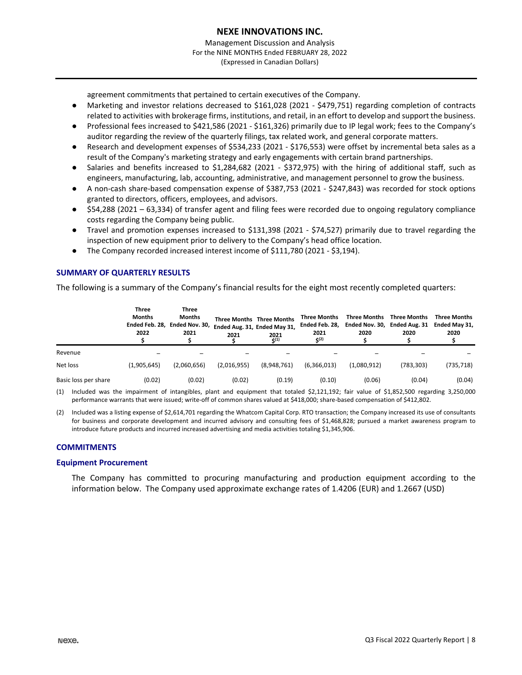agreement commitments that pertained to certain executives of the Company.

- Marketing and investor relations decreased to \$161,028 (2021 \$479,751) regarding completion of contracts related to activities with brokerage firms, institutions, and retail, in an effort to develop and support the business.
- Professional fees increased to \$421,586 (2021 ‐ \$161,326) primarily due to IP legal work; fees to the Company's auditor regarding the review of the quarterly filings, tax related work, and general corporate matters.
- Research and development expenses of \$534,233 (2021 \$176,553) were offset by incremental beta sales as a result of the Company's marketing strategy and early engagements with certain brand partnerships.
- Salaries and benefits increased to \$1,284,682 (2021 \$372,975) with the hiring of additional staff, such as engineers, manufacturing, lab, accounting, administrative, and management personnel to grow the business.
- A non‐cash share‐based compensation expense of \$387,753 (2021 ‐ \$247,843) was recorded for stock options granted to directors, officers, employees, and advisors.
- \$54,288 (2021 63,334) of transfer agent and filing fees were recorded due to ongoing regulatory compliance costs regarding the Company being public.
- Travel and promotion expenses increased to \$131,398 (2021 \$74,527) primarily due to travel regarding the inspection of new equipment prior to delivery to the Company's head office location.
- The Company recorded increased interest income of \$111,780 (2021 \$3,194).

## **SUMMARY OF QUARTERLY RESULTS**

The following is a summary of the Company's financial results for the eight most recently completed quarters:

|                                                                                                                                              | <b>Three</b><br><b>Months</b><br>Ended Feb. 28.<br>2022 | Three<br><b>Months</b><br>Ended Nov. 30,<br>2021 | 2021        | <b>Three Months Three Months</b><br>Ended Aug. 31, Ended May 31,<br>2021<br>$\zeta(1)$ | <b>Three Months</b><br>Ended Feb. 28.<br>2021<br><b>S(2)</b> | <b>Three Months</b><br>2020 | <b>Three Months</b><br>Ended Nov. 30, Ended Aug. 31<br>2020 | <b>Three Months</b><br>Ended May 31,<br>2020 |
|----------------------------------------------------------------------------------------------------------------------------------------------|---------------------------------------------------------|--------------------------------------------------|-------------|----------------------------------------------------------------------------------------|--------------------------------------------------------------|-----------------------------|-------------------------------------------------------------|----------------------------------------------|
| Revenue                                                                                                                                      |                                                         |                                                  |             |                                                                                        |                                                              |                             |                                                             |                                              |
| Net loss                                                                                                                                     | (1,905,645)                                             | (2,060,656)                                      | (2,016,955) | (8,948,761)                                                                            | (6,366,013)                                                  | (1,080,912)                 | (783,303)                                                   | (735,718)                                    |
| Basic loss per share                                                                                                                         | (0.02)                                                  | (0.02)                                           | (0.02)      | (0.19)                                                                                 | (0.10)                                                       | (0.06)                      | (0.04)                                                      | (0.04)                                       |
| (1) limituded was the impoirment of intensibles, plant and equipment that totaled C1.121.103. feix value of C1.053.500 reservating 3.350.000 |                                                         |                                                  |             |                                                                                        |                                                              |                             |                                                             |                                              |

(1) Included was the impairment of intangibles, plant and equipment that totaled \$2,121,192; fair value of \$1,852,500 regarding 3,250,000 performance warrants that were issued; write-off of common shares valued at \$418,000; share-based compensation of \$412,802.

(2) Included was a listing expense of \$2,614,701 regarding the Whatcom Capital Corp. RTO transaction; the Company increased its use of consultants for business and corporate development and incurred advisory and consulting fees of \$1,468,828; pursued a market awareness program to introduce future products and incurred increased advertising and media activities totaling \$1,345,906.

## **COMMITMENTS**

#### **Equipment Procurement**

The Company has committed to procuring manufacturing and production equipment according to the information below. The Company used approximate exchange rates of 1.4206 (EUR) and 1.2667 (USD)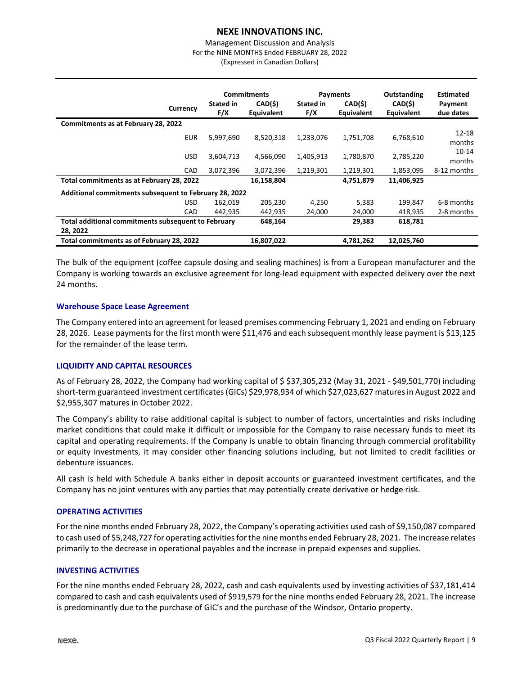#### Management Discussion and Analysis For the NINE MONTHS Ended FEBRUARY 28, 2022 (Expressed in Canadian Dollars)

|                                                        | <b>Commitments</b> |                       | Payments                |                       | Outstanding           | <b>Estimated</b>     |  |  |
|--------------------------------------------------------|--------------------|-----------------------|-------------------------|-----------------------|-----------------------|----------------------|--|--|
| Currency                                               | Stated in<br>F/X   | CAD(\$)<br>Equivalent | <b>Stated in</b><br>F/X | CAD(\$)<br>Equivalent | CAD(\$)<br>Equivalent | Payment<br>due dates |  |  |
| Commitments as at February 28, 2022                    |                    |                       |                         |                       |                       |                      |  |  |
| <b>EUR</b>                                             | 5,997,690          | 8,520,318             | 1,233,076               | 1,751,708             | 6,768,610             | $12 - 18$<br>months  |  |  |
| <b>USD</b>                                             | 3,604,713          | 4,566,090             | 1,405,913               | 1,780,870             | 2,785,220             | $10 - 14$<br>months  |  |  |
| <b>CAD</b>                                             | 3,072,396          | 3,072,396             | 1,219,301               | 1,219,301             | 1,853,095             | 8-12 months          |  |  |
| Total commitments as at February 28, 2022              |                    | 16,158,804            |                         | 4,751,879             | 11,406,925            |                      |  |  |
| Additional commitments subsequent to February 28, 2022 |                    |                       |                         |                       |                       |                      |  |  |
| <b>USD</b>                                             | 162.019            | 205.230               | 4.250                   | 5.383                 | 199.847               | 6-8 months           |  |  |
| CAD                                                    | 442,935            | 442,935               | 24,000                  | 24,000                | 418,935               | 2-8 months           |  |  |
| Total additional commitments subsequent to February    |                    | 648,164               |                         | 29,383                | 618,781               |                      |  |  |
| 28, 2022                                               |                    |                       |                         |                       |                       |                      |  |  |
| Total commitments as of February 28, 2022              |                    | 16,807,022            |                         | 4,781,262             | 12,025,760            |                      |  |  |

The bulk of the equipment (coffee capsule dosing and sealing machines) is from a European manufacturer and the Company is working towards an exclusive agreement for long‐lead equipment with expected delivery over the next 24 months.

#### **Warehouse Space Lease Agreement**

The Company entered into an agreement for leased premises commencing February 1, 2021 and ending on February 28, 2026. Lease payments for the first month were \$11,476 and each subsequent monthly lease payment is \$13,125 for the remainder of the lease term.

## **LIQUIDITY AND CAPITAL RESOURCES**

As of February 28, 2022, the Company had working capital of \$ \$37,305,232 (May 31, 2021 ‐ \$49,501,770) including short-term guaranteed investment certificates (GICs) \$29,978,934 of which \$27,023,627 matures in August 2022 and \$2,955,307 matures in October 2022.

The Company's ability to raise additional capital is subject to number of factors, uncertainties and risks including market conditions that could make it difficult or impossible for the Company to raise necessary funds to meet its capital and operating requirements. If the Company is unable to obtain financing through commercial profitability or equity investments, it may consider other financing solutions including, but not limited to credit facilities or debenture issuances.

All cash is held with Schedule A banks either in deposit accounts or guaranteed investment certificates, and the Company has no joint ventures with any parties that may potentially create derivative or hedge risk.

#### **OPERATING ACTIVITIES**

For the nine months ended February 28, 2022, the Company's operating activities used cash of \$9,150,087 compared to cash used of \$5,248,727 for operating activities for the nine months ended February 28, 2021. The increase relates primarily to the decrease in operational payables and the increase in prepaid expenses and supplies.

#### **INVESTING ACTIVITIES**

For the nine months ended February 28, 2022, cash and cash equivalents used by investing activities of \$37,181,414 compared to cash and cash equivalents used of \$919,579 for the nine months ended February 28, 2021. The increase is predominantly due to the purchase of GIC's and the purchase of the Windsor, Ontario property.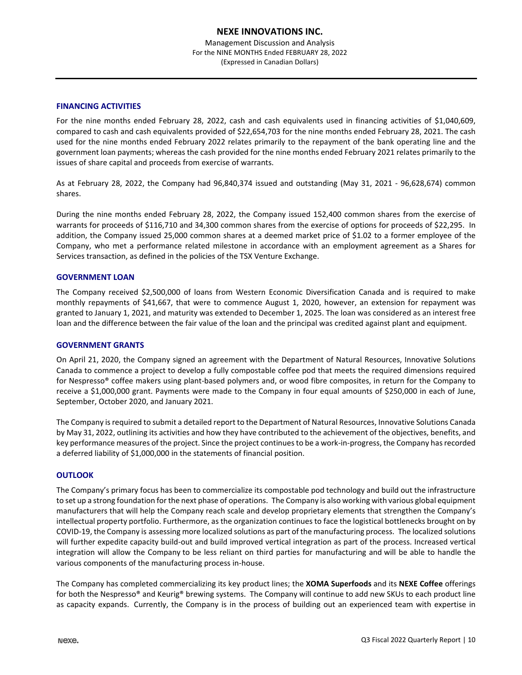## **FINANCING ACTIVITIES**

For the nine months ended February 28, 2022, cash and cash equivalents used in financing activities of \$1,040,609, compared to cash and cash equivalents provided of \$22,654,703 for the nine months ended February 28, 2021. The cash used for the nine months ended February 2022 relates primarily to the repayment of the bank operating line and the government loan payments; whereas the cash provided for the nine months ended February 2021 relates primarily to the issues of share capital and proceeds from exercise of warrants.

As at February 28, 2022, the Company had 96,840,374 issued and outstanding (May 31, 2021 ‐ 96,628,674) common shares.

During the nine months ended February 28, 2022, the Company issued 152,400 common shares from the exercise of warrants for proceeds of \$116,710 and 34,300 common shares from the exercise of options for proceeds of \$22,295. In addition, the Company issued 25,000 common shares at a deemed market price of \$1.02 to a former employee of the Company, who met a performance related milestone in accordance with an employment agreement as a Shares for Services transaction, as defined in the policies of the TSX Venture Exchange.

#### **GOVERNMENT LOAN**

The Company received \$2,500,000 of loans from Western Economic Diversification Canada and is required to make monthly repayments of \$41,667, that were to commence August 1, 2020, however, an extension for repayment was granted to January 1, 2021, and maturity was extended to December 1, 2025. The loan was considered as an interest free loan and the difference between the fair value of the loan and the principal was credited against plant and equipment.

#### **GOVERNMENT GRANTS**

On April 21, 2020, the Company signed an agreement with the Department of Natural Resources, Innovative Solutions Canada to commence a project to develop a fully compostable coffee pod that meets the required dimensions required for Nespresso® coffee makers using plant‐based polymers and, or wood fibre composites, in return for the Company to receive a \$1,000,000 grant. Payments were made to the Company in four equal amounts of \$250,000 in each of June, September, October 2020, and January 2021.

The Company isrequired to submit a detailed report to the Department of Natural Resources, Innovative Solutions Canada by May 31, 2022, outlining its activities and how they have contributed to the achievement of the objectives, benefits, and key performance measures of the project. Since the project continues to be a work-in-progress, the Company has recorded a deferred liability of \$1,000,000 in the statements of financial position.

## **OUTLOOK**

The Company's primary focus has been to commercialize its compostable pod technology and build out the infrastructure to set up a strong foundation forthe next phase of operations. The Company is also working with various global equipment manufacturers that will help the Company reach scale and develop proprietary elements that strengthen the Company's intellectual property portfolio. Furthermore, as the organization continues to face the logistical bottlenecks brought on by COVID‐19, the Company is assessing more localized solutions as part of the manufacturing process. The localized solutions will further expedite capacity build-out and build improved vertical integration as part of the process. Increased vertical integration will allow the Company to be less reliant on third parties for manufacturing and will be able to handle the various components of the manufacturing process in‐house.

The Company has completed commercializing its key product lines; the **XOMA Superfoods** and its **NEXE Coffee** offerings for both the Nespresso® and Keurig® brewing systems. The Company will continue to add new SKUs to each product line as capacity expands. Currently, the Company is in the process of building out an experienced team with expertise in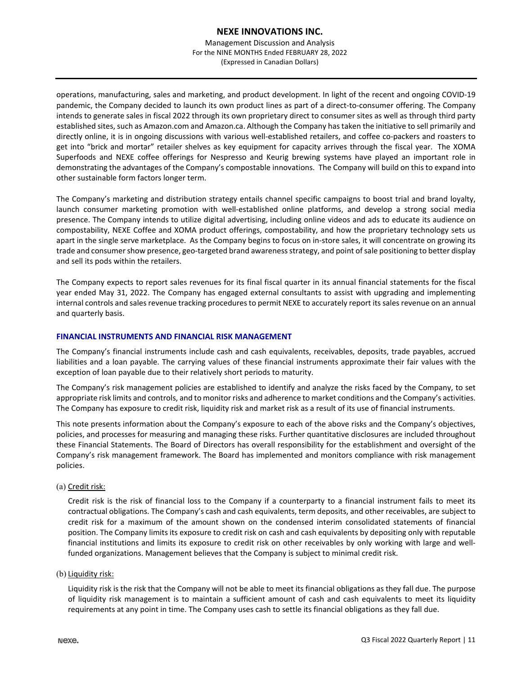Management Discussion and Analysis For the NINE MONTHS Ended FEBRUARY 28, 2022 (Expressed in Canadian Dollars)

operations, manufacturing, sales and marketing, and product development. In light of the recent and ongoing COVID‐19 pandemic, the Company decided to launch its own product lines as part of a direct‐to‐consumer offering. The Company intends to generate sales in fiscal 2022 through its own proprietary direct to consumer sites as well as through third party established sites, such as Amazon.com and Amazon.ca. Although the Company hastaken the initiative to sell primarily and directly online, it is in ongoing discussions with various well‐established retailers, and coffee co‐packers and roasters to get into "brick and mortar" retailer shelves as key equipment for capacity arrives through the fiscal year. The XOMA Superfoods and NEXE coffee offerings for Nespresso and Keurig brewing systems have played an important role in demonstrating the advantages of the Company's compostable innovations. The Company will build on this to expand into other sustainable form factors longer term.

The Company's marketing and distribution strategy entails channel specific campaigns to boost trial and brand loyalty, launch consumer marketing promotion with well‐established online platforms, and develop a strong social media presence. The Company intends to utilize digital advertising, including online videos and ads to educate its audience on compostability, NEXE Coffee and XOMA product offerings, compostability, and how the proprietary technology sets us apart in the single serve marketplace. As the Company begins to focus on in-store sales, it will concentrate on growing its trade and consumer show presence, geo-targeted brand awareness strategy, and point of sale positioning to better display and sell its pods within the retailers.

The Company expects to report sales revenues for its final fiscal quarter in its annual financial statements for the fiscal year ended May 31, 2022. The Company has engaged external consultants to assist with upgrading and implementing internal controls and sales revenue tracking procedures to permit NEXE to accurately report its sales revenue on an annual and quarterly basis.

## **FINANCIAL INSTRUMENTS AND FINANCIAL RISK MANAGEMENT**

The Company's financial instruments include cash and cash equivalents, receivables, deposits, trade payables, accrued liabilities and a loan payable. The carrying values of these financial instruments approximate their fair values with the exception of loan payable due to their relatively short periods to maturity.

The Company's risk management policies are established to identify and analyze the risks faced by the Company, to set appropriate risk limits and controls, and to monitor risks and adherence to market conditions and the Company's activities. The Company has exposure to credit risk, liquidity risk and market risk as a result of its use of financial instruments.

This note presents information about the Company's exposure to each of the above risks and the Company's objectives, policies, and processes for measuring and managing these risks. Further quantitative disclosures are included throughout these Financial Statements. The Board of Directors has overall responsibility for the establishment and oversight of the Company's risk management framework. The Board has implemented and monitors compliance with risk management policies.

#### (a) Credit risk:

Credit risk is the risk of financial loss to the Company if a counterparty to a financial instrument fails to meet its contractual obligations. The Company's cash and cash equivalents, term deposits, and other receivables, are subject to credit risk for a maximum of the amount shown on the condensed interim consolidated statements of financial position. The Company limits its exposure to credit risk on cash and cash equivalents by depositing only with reputable financial institutions and limits its exposure to credit risk on other receivables by only working with large and wellfunded organizations. Management believes that the Company is subject to minimal credit risk.

#### (b) Liquidity risk:

Liquidity risk is the risk that the Company will not be able to meet its financial obligations as they fall due. The purpose of liquidity risk management is to maintain a sufficient amount of cash and cash equivalents to meet its liquidity requirements at any point in time. The Company uses cash to settle its financial obligations as they fall due.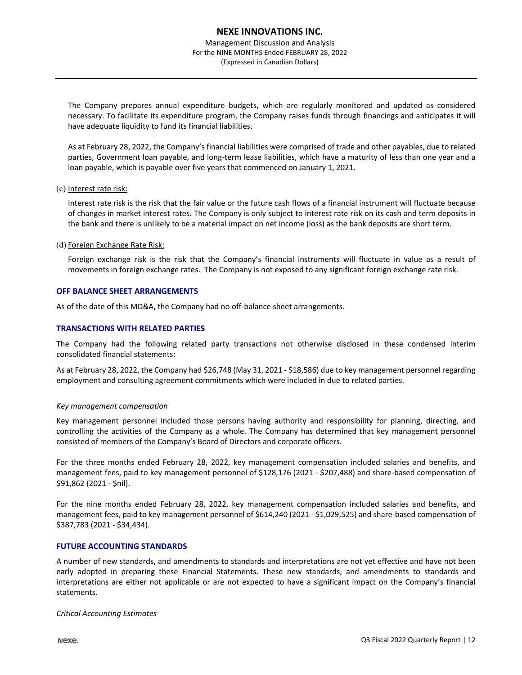Management Discussion and Analysis For the NINE MONTHS Ended FEBRUARY 28, 2022 (Expressed in Canadian Dollars)

The Company prepares annual expenditure budgets, which are regularly monitored and updated as considered necessary. To facilitate its expenditure program, the Company raises funds through financings and anticipates it will have adequate liquidity to fund its financial liabilities.

As at February 28, 2022, the Company's financial liabilities were comprised of trade and other payables, due to related parties, Government loan payable, and long‐term lease liabilities, which have a maturity of less than one year and a loan payable, which is payable over five years that commenced on January 1, 2021.

#### (c) Interest rate risk:

Interest rate risk is the risk that the fair value or the future cash flows of a financial instrument will fluctuate because of changes in market interest rates. The Company is only subject to interest rate risk on its cash and term deposits in the bank and there is unlikely to be a material impact on net income (loss) as the bank deposits are short term.

#### (d) Foreign Exchange Rate Risk:

Foreign exchange risk is the risk that the Company's financial instruments will fluctuate in value as a result of movements in foreign exchange rates. The Company is not exposed to any significant foreign exchange rate risk.

#### **OFF BALANCE SHEET ARRANGEMENTS**

As of the date of this MD&A, the Company had no off-balance sheet arrangements.

#### **TRANSACTIONS WITH RELATED PARTIES**

The Company had the following related party transactions not otherwise disclosed in these condensed interim consolidated financial statements:

As at February 28, 2022, the Company had \$26,748 (May 31, 2021 ‐ \$18,586) due to key management personnel regarding employment and consulting agreement commitments which were included in due to related parties.

#### *Key management compensation*

Key management personnel included those persons having authority and responsibility for planning, directing, and controlling the activities of the Company as a whole. The Company has determined that key management personnel consisted of members of the Company's Board of Directors and corporate officers.

For the three months ended February 28, 2022, key management compensation included salaries and benefits, and management fees, paid to key management personnel of \$128,176 (2021 - \$207,488) and share-based compensation of \$91,862 (2021 ‐ \$nil).

For the nine months ended February 28, 2022, key management compensation included salaries and benefits, and management fees, paid to key management personnel of \$614,240 (2021 ‐ \$1,029,525) and share‐based compensation of \$387,783 (2021 ‐ \$34,434).

#### **FUTURE ACCOUNTING STANDARDS**

A number of new standards, and amendments to standards and interpretations are not yet effective and have not been early adopted in preparing these Financial Statements. These new standards, and amendments to standards and interpretations are either not applicable or are not expected to have a significant impact on the Company's financial statements.

*Critical Accounting Estimates*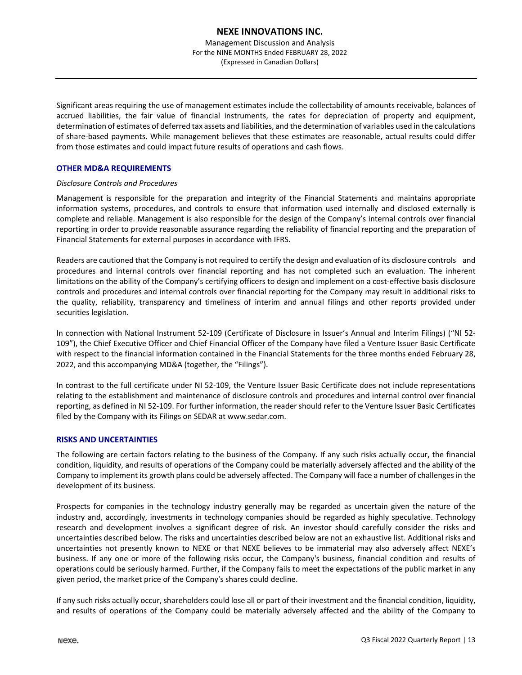Management Discussion and Analysis For the NINE MONTHS Ended FEBRUARY 28, 2022 (Expressed in Canadian Dollars)

Significant areas requiring the use of management estimates include the collectability of amounts receivable, balances of accrued liabilities, the fair value of financial instruments, the rates for depreciation of property and equipment, determination of estimates of deferred tax assets and liabilities, and the determination of variables used in the calculations of share‐based payments. While management believes that these estimates are reasonable, actual results could differ from those estimates and could impact future results of operations and cash flows.

## **OTHER MD&A REQUIREMENTS**

#### *Disclosure Controls and Procedures*

Management is responsible for the preparation and integrity of the Financial Statements and maintains appropriate information systems, procedures, and controls to ensure that information used internally and disclosed externally is complete and reliable. Management is also responsible for the design of the Company's internal controls over financial reporting in order to provide reasonable assurance regarding the reliability of financial reporting and the preparation of Financial Statements for external purposes in accordance with IFRS.

Readers are cautioned that the Company is not required to certify the design and evaluation of its disclosure controls and procedures and internal controls over financial reporting and has not completed such an evaluation. The inherent limitations on the ability of the Company's certifying officers to design and implement on a cost-effective basis disclosure controls and procedures and internal controls over financial reporting for the Company may result in additional risks to the quality, reliability, transparency and timeliness of interim and annual filings and other reports provided under securities legislation.

In connection with National Instrument 52‐109 (Certificate of Disclosure in Issuer's Annual and Interim Filings) ("NI 52‐ 109"), the Chief Executive Officer and Chief Financial Officer of the Company have filed a Venture Issuer Basic Certificate with respect to the financial information contained in the Financial Statements for the three months ended February 28, 2022, and this accompanying MD&A (together, the "Filings").

In contrast to the full certificate under NI 52-109, the Venture Issuer Basic Certificate does not include representations relating to the establishment and maintenance of disclosure controls and procedures and internal control over financial reporting, as defined in NI 52‐109. For further information, the reader should refer to the Venture Issuer Basic Certificates filed by the Company with its Filings on SEDAR at www.sedar.com.

## **RISKS AND UNCERTAINTIES**

The following are certain factors relating to the business of the Company. If any such risks actually occur, the financial condition, liquidity, and results of operations of the Company could be materially adversely affected and the ability of the Company to implement its growth plans could be adversely affected. The Company will face a number of challenges in the development of its business.

Prospects for companies in the technology industry generally may be regarded as uncertain given the nature of the industry and, accordingly, investments in technology companies should be regarded as highly speculative. Technology research and development involves a significant degree of risk. An investor should carefully consider the risks and uncertainties described below. The risks and uncertainties described below are not an exhaustive list. Additional risks and uncertainties not presently known to NEXE or that NEXE believes to be immaterial may also adversely affect NEXE's business. If any one or more of the following risks occur, the Company's business, financial condition and results of operations could be seriously harmed. Further, if the Company fails to meet the expectations of the public market in any given period, the market price of the Company's shares could decline.

If any such risks actually occur, shareholders could lose all or part of their investment and the financial condition, liquidity, and results of operations of the Company could be materially adversely affected and the ability of the Company to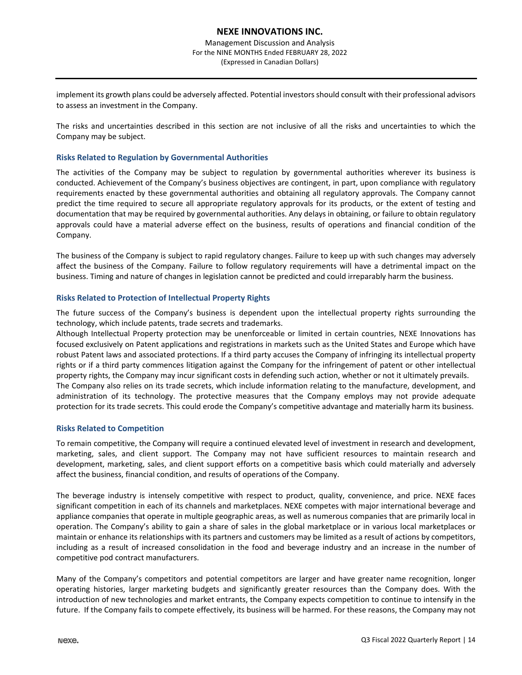implement its growth plans could be adversely affected. Potential investorsshould consult with their professional advisors to assess an investment in the Company.

The risks and uncertainties described in this section are not inclusive of all the risks and uncertainties to which the Company may be subject.

#### **Risks Related to Regulation by Governmental Authorities**

The activities of the Company may be subject to regulation by governmental authorities wherever its business is conducted. Achievement of the Company's business objectives are contingent, in part, upon compliance with regulatory requirements enacted by these governmental authorities and obtaining all regulatory approvals. The Company cannot predict the time required to secure all appropriate regulatory approvals for its products, or the extent of testing and documentation that may be required by governmental authorities. Any delays in obtaining, or failure to obtain regulatory approvals could have a material adverse effect on the business, results of operations and financial condition of the Company.

The business of the Company is subject to rapid regulatory changes. Failure to keep up with such changes may adversely affect the business of the Company. Failure to follow regulatory requirements will have a detrimental impact on the business. Timing and nature of changes in legislation cannot be predicted and could irreparably harm the business.

#### **Risks Related to Protection of Intellectual Property Rights**

The future success of the Company's business is dependent upon the intellectual property rights surrounding the technology, which include patents, trade secrets and trademarks.

Although Intellectual Property protection may be unenforceable or limited in certain countries, NEXE Innovations has focused exclusively on Patent applications and registrations in markets such as the United States and Europe which have robust Patent laws and associated protections. If a third party accuses the Company of infringing its intellectual property rights or if a third party commences litigation against the Company for the infringement of patent or other intellectual property rights, the Company may incur significant costs in defending such action, whether or not it ultimately prevails. The Company also relies on its trade secrets, which include information relating to the manufacture, development, and administration of its technology. The protective measures that the Company employs may not provide adequate protection for its trade secrets. This could erode the Company's competitive advantage and materially harm its business.

#### **Risks Related to Competition**

To remain competitive, the Company will require a continued elevated level of investment in research and development, marketing, sales, and client support. The Company may not have sufficient resources to maintain research and development, marketing, sales, and client support efforts on a competitive basis which could materially and adversely affect the business, financial condition, and results of operations of the Company.

The beverage industry is intensely competitive with respect to product, quality, convenience, and price. NEXE faces significant competition in each of its channels and marketplaces. NEXE competes with major international beverage and appliance companies that operate in multiple geographic areas, as well as numerous companies that are primarily local in operation. The Company's ability to gain a share of sales in the global marketplace or in various local marketplaces or maintain or enhance its relationships with its partners and customers may be limited as a result of actions by competitors, including as a result of increased consolidation in the food and beverage industry and an increase in the number of competitive pod contract manufacturers.

Many of the Company's competitors and potential competitors are larger and have greater name recognition, longer operating histories, larger marketing budgets and significantly greater resources than the Company does. With the introduction of new technologies and market entrants, the Company expects competition to continue to intensify in the future. If the Company fails to compete effectively, its business will be harmed. For these reasons, the Company may not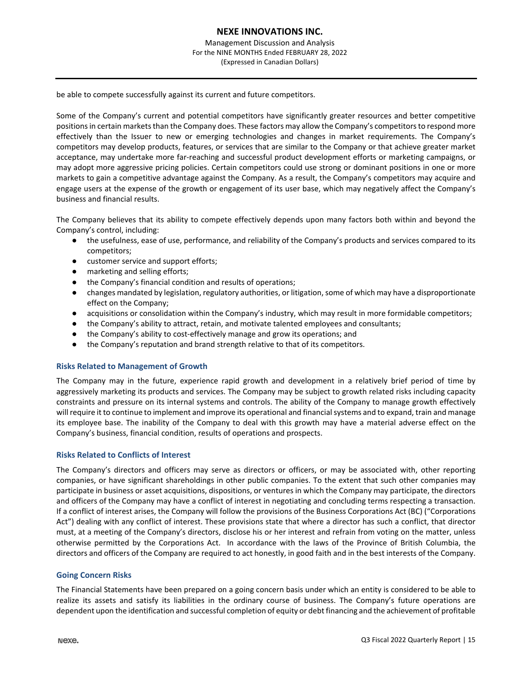be able to compete successfully against its current and future competitors.

Some of the Company's current and potential competitors have significantly greater resources and better competitive positions in certain markets than the Company does. These factors may allow the Company's competitors to respond more effectively than the Issuer to new or emerging technologies and changes in market requirements. The Company's competitors may develop products, features, or services that are similar to the Company or that achieve greater market acceptance, may undertake more far‐reaching and successful product development efforts or marketing campaigns, or may adopt more aggressive pricing policies. Certain competitors could use strong or dominant positions in one or more markets to gain a competitive advantage against the Company. As a result, the Company's competitors may acquire and engage users at the expense of the growth or engagement of its user base, which may negatively affect the Company's business and financial results.

The Company believes that its ability to compete effectively depends upon many factors both within and beyond the Company's control, including:

- the usefulness, ease of use, performance, and reliability of the Company's products and services compared to its competitors;
- customer service and support efforts;
- marketing and selling efforts;
- the Company's financial condition and results of operations;
- changes mandated by legislation, regulatory authorities, or litigation, some of which may have a disproportionate effect on the Company;
- acquisitions or consolidation within the Company's industry, which may result in more formidable competitors;
- the Company's ability to attract, retain, and motivate talented employees and consultants;
- the Company's ability to cost-effectively manage and grow its operations; and
- the Company's reputation and brand strength relative to that of its competitors.

## **Risks Related to Management of Growth**

The Company may in the future, experience rapid growth and development in a relatively brief period of time by aggressively marketing its products and services. The Company may be subject to growth related risks including capacity constraints and pressure on its internal systems and controls. The ability of the Company to manage growth effectively will require it to continue to implement and improve its operational and financial systems and to expand, train and manage its employee base. The inability of the Company to deal with this growth may have a material adverse effect on the Company's business, financial condition, results of operations and prospects.

## **Risks Related to Conflicts of Interest**

The Company's directors and officers may serve as directors or officers, or may be associated with, other reporting companies, or have significant shareholdings in other public companies. To the extent that such other companies may participate in business or asset acquisitions, dispositions, or ventures in which the Company may participate, the directors and officers of the Company may have a conflict of interest in negotiating and concluding terms respecting a transaction. If a conflict of interest arises, the Company will follow the provisions of the Business Corporations Act (BC) ("Corporations Act") dealing with any conflict of interest. These provisions state that where a director has such a conflict, that director must, at a meeting of the Company's directors, disclose his or her interest and refrain from voting on the matter, unless otherwise permitted by the Corporations Act. In accordance with the laws of the Province of British Columbia, the directors and officers of the Company are required to act honestly, in good faith and in the best interests of the Company.

## **Going Concern Risks**

The Financial Statements have been prepared on a going concern basis under which an entity is considered to be able to realize its assets and satisfy its liabilities in the ordinary course of business. The Company's future operations are dependent upon the identification and successful completion of equity or debt financing and the achievement of profitable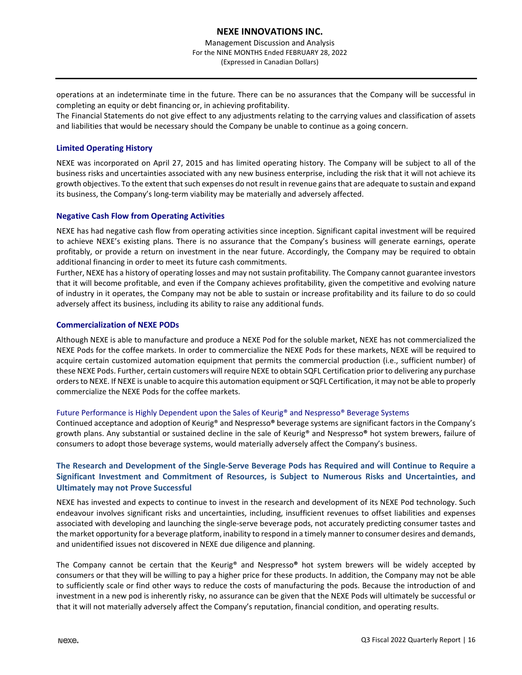operations at an indeterminate time in the future. There can be no assurances that the Company will be successful in completing an equity or debt financing or, in achieving profitability.

The Financial Statements do not give effect to any adjustments relating to the carrying values and classification of assets and liabilities that would be necessary should the Company be unable to continue as a going concern.

## **Limited Operating History**

NEXE was incorporated on April 27, 2015 and has limited operating history. The Company will be subject to all of the business risks and uncertainties associated with any new business enterprise, including the risk that it will not achieve its growth objectives. To the extent that such expenses do not result in revenue gains that are adequate to sustain and expand its business, the Company's long‐term viability may be materially and adversely affected.

#### **Negative Cash Flow from Operating Activities**

NEXE has had negative cash flow from operating activities since inception. Significant capital investment will be required to achieve NEXE's existing plans. There is no assurance that the Company's business will generate earnings, operate profitably, or provide a return on investment in the near future. Accordingly, the Company may be required to obtain additional financing in order to meet its future cash commitments.

Further, NEXE has a history of operating losses and may not sustain profitability. The Company cannot guarantee investors that it will become profitable, and even if the Company achieves profitability, given the competitive and evolving nature of industry in it operates, the Company may not be able to sustain or increase profitability and its failure to do so could adversely affect its business, including its ability to raise any additional funds.

#### **Commercialization of NEXE PODs**

Although NEXE is able to manufacture and produce a NEXE Pod for the soluble market, NEXE has not commercialized the NEXE Pods for the coffee markets. In order to commercialize the NEXE Pods for these markets, NEXE will be required to acquire certain customized automation equipment that permits the commercial production (i.e., sufficient number) of these NEXE Pods. Further, certain customers will require NEXE to obtain SQFL Certification prior to delivering any purchase ordersto NEXE. If NEXE is unable to acquire this automation equipment or SQFL Certification, it may not be able to properly commercialize the NEXE Pods for the coffee markets.

#### Future Performance is Highly Dependent upon the Sales of Keurig® and Nespresso® Beverage Systems

Continued acceptance and adoption of Keurig® and Nespresso**®** beverage systems are significant factors in the Company's growth plans. Any substantial or sustained decline in the sale of Keurig® and Nespresso**®** hot system brewers, failure of consumers to adopt those beverage systems, would materially adversely affect the Company's business.

## The Research and Development of the Single-Serve Beverage Pods has Required and will Continue to Require a **Significant Investment and Commitment of Resources, is Subject to Numerous Risks and Uncertainties, and Ultimately may not Prove Successful**

NEXE has invested and expects to continue to invest in the research and development of its NEXE Pod technology. Such endeavour involves significant risks and uncertainties, including, insufficient revenues to offset liabilities and expenses associated with developing and launching the single‐serve beverage pods, not accurately predicting consumer tastes and the market opportunity for a beverage platform, inability to respond in a timely manner to consumer desires and demands, and unidentified issues not discovered in NEXE due diligence and planning.

The Company cannot be certain that the Keurig® and Nespresso**®** hot system brewers will be widely accepted by consumers or that they will be willing to pay a higher price for these products. In addition, the Company may not be able to sufficiently scale or find other ways to reduce the costs of manufacturing the pods. Because the introduction of and investment in a new pod is inherently risky, no assurance can be given that the NEXE Pods will ultimately be successful or that it will not materially adversely affect the Company's reputation, financial condition, and operating results.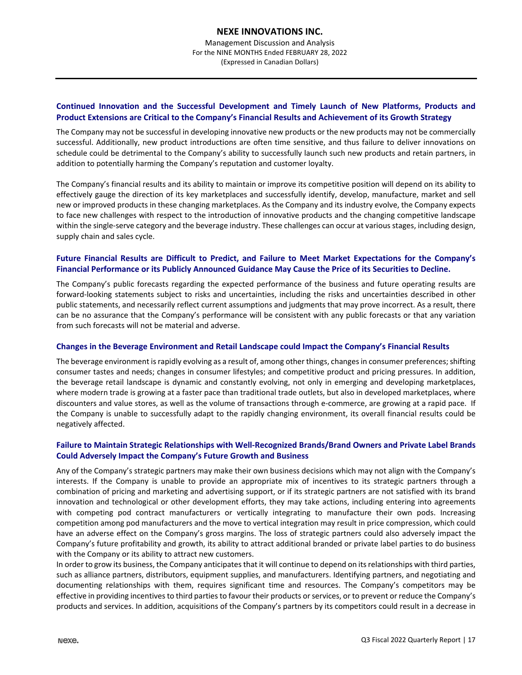## **Continued Innovation and the Successful Development and Timely Launch of New Platforms, Products and Product Extensions are Critical to the Company's Financial Results and Achievement of its Growth Strategy**

The Company may not be successful in developing innovative new products or the new products may not be commercially successful. Additionally, new product introductions are often time sensitive, and thus failure to deliver innovations on schedule could be detrimental to the Company's ability to successfully launch such new products and retain partners, in addition to potentially harming the Company's reputation and customer loyalty.

The Company's financial results and its ability to maintain or improve its competitive position will depend on its ability to effectively gauge the direction of its key marketplaces and successfully identify, develop, manufacture, market and sell new or improved products in these changing marketplaces. As the Company and its industry evolve, the Company expects to face new challenges with respect to the introduction of innovative products and the changing competitive landscape within the single-serve category and the beverage industry. These challenges can occur at various stages, including design, supply chain and sales cycle.

## **Future Financial Results are Difficult to Predict, and Failure to Meet Market Expectations for the Company's Financial Performance or its Publicly Announced Guidance May Cause the Price of its Securities to Decline.**

The Company's public forecasts regarding the expected performance of the business and future operating results are forward-looking statements subject to risks and uncertainties, including the risks and uncertainties described in other public statements, and necessarily reflect current assumptions and judgments that may prove incorrect. As a result, there can be no assurance that the Company's performance will be consistent with any public forecasts or that any variation from such forecasts will not be material and adverse.

## **Changes in the Beverage Environment and Retail Landscape could Impact the Company's Financial Results**

The beverage environment is rapidly evolving as a result of, among other things, changes in consumer preferences; shifting consumer tastes and needs; changes in consumer lifestyles; and competitive product and pricing pressures. In addition, the beverage retail landscape is dynamic and constantly evolving, not only in emerging and developing marketplaces, where modern trade is growing at a faster pace than traditional trade outlets, but also in developed marketplaces, where discounters and value stores, as well as the volume of transactions through e‐commerce, are growing at a rapid pace. If the Company is unable to successfully adapt to the rapidly changing environment, its overall financial results could be negatively affected.

## **Failure to Maintain Strategic Relationships with Well‐Recognized Brands/Brand Owners and Private Label Brands Could Adversely Impact the Company's Future Growth and Business**

Any of the Company's strategic partners may make their own business decisions which may not align with the Company's interests. If the Company is unable to provide an appropriate mix of incentives to its strategic partners through a combination of pricing and marketing and advertising support, or if its strategic partners are not satisfied with its brand innovation and technological or other development efforts, they may take actions, including entering into agreements with competing pod contract manufacturers or vertically integrating to manufacture their own pods. Increasing competition among pod manufacturers and the move to vertical integration may result in price compression, which could have an adverse effect on the Company's gross margins. The loss of strategic partners could also adversely impact the Company's future profitability and growth, its ability to attract additional branded or private label parties to do business with the Company or its ability to attract new customers.

In order to grow its business, the Company anticipates that it will continue to depend on its relationships with third parties, such as alliance partners, distributors, equipment supplies, and manufacturers. Identifying partners, and negotiating and documenting relationships with them, requires significant time and resources. The Company's competitors may be effective in providing incentives to third parties to favour their products or services, or to prevent or reduce the Company's products and services. In addition, acquisitions of the Company's partners by its competitors could result in a decrease in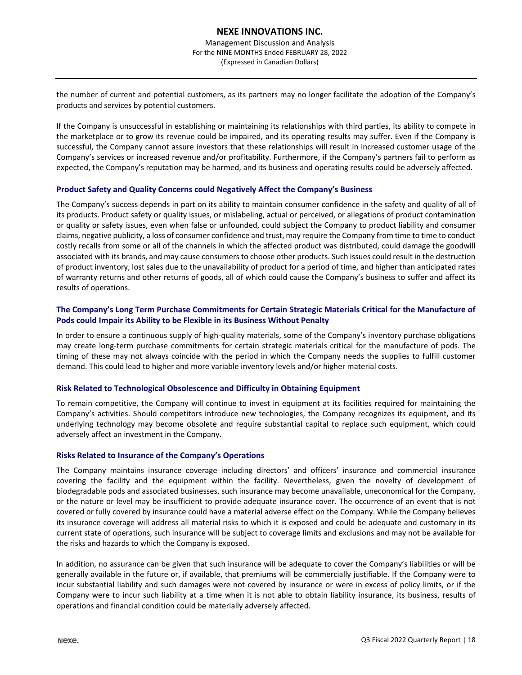the number of current and potential customers, as its partners may no longer facilitate the adoption of the Company's products and services by potential customers.

If the Company is unsuccessful in establishing or maintaining its relationships with third parties, its ability to compete in the marketplace or to grow its revenue could be impaired, and its operating results may suffer. Even if the Company is successful, the Company cannot assure investors that these relationships will result in increased customer usage of the Company's services or increased revenue and/or profitability. Furthermore, if the Company's partners fail to perform as expected, the Company's reputation may be harmed, and its business and operating results could be adversely affected.

#### **Product Safety and Quality Concerns could Negatively Affect the Company's Business**

The Company's success depends in part on its ability to maintain consumer confidence in the safety and quality of all of its products. Product safety or quality issues, or mislabeling, actual or perceived, or allegations of product contamination or quality or safety issues, even when false or unfounded, could subject the Company to product liability and consumer claims, negative publicity, a loss of consumer confidence and trust, may require the Company from time to time to conduct costly recalls from some or all of the channels in which the affected product was distributed, could damage the goodwill associated with its brands, and may cause consumersto choose other products. Such issues could result in the destruction of product inventory, lost sales due to the unavailability of product for a period of time, and higher than anticipated rates of warranty returns and other returns of goods, all of which could cause the Company's business to suffer and affect its results of operations.

## **The Company's Long Term Purchase Commitments for Certain Strategic Materials Critical for the Manufacture of Pods could Impair its Ability to be Flexible in its Business Without Penalty**

In order to ensure a continuous supply of high-quality materials, some of the Company's inventory purchase obligations may create long‐term purchase commitments for certain strategic materials critical for the manufacture of pods. The timing of these may not always coincide with the period in which the Company needs the supplies to fulfill customer demand. This could lead to higher and more variable inventory levels and/or higher material costs.

#### **Risk Related to Technological Obsolescence and Difficulty in Obtaining Equipment**

To remain competitive, the Company will continue to invest in equipment at its facilities required for maintaining the Company's activities. Should competitors introduce new technologies, the Company recognizes its equipment, and its underlying technology may become obsolete and require substantial capital to replace such equipment, which could adversely affect an investment in the Company.

#### **Risks Related to Insurance of the Company's Operations**

The Company maintains insurance coverage including directors' and officers' insurance and commercial insurance covering the facility and the equipment within the facility. Nevertheless, given the novelty of development of biodegradable pods and associated businesses, such insurance may become unavailable, uneconomical for the Company, or the nature or level may be insufficient to provide adequate insurance cover. The occurrence of an event that is not covered or fully covered by insurance could have a material adverse effect on the Company. While the Company believes its insurance coverage will address all material risks to which it is exposed and could be adequate and customary in its current state of operations, such insurance will be subject to coverage limits and exclusions and may not be available for the risks and hazards to which the Company is exposed.

In addition, no assurance can be given that such insurance will be adequate to cover the Company's liabilities or will be generally available in the future or, if available, that premiums will be commercially justifiable. If the Company were to incur substantial liability and such damages were not covered by insurance or were in excess of policy limits, or if the Company were to incur such liability at a time when it is not able to obtain liability insurance, its business, results of operations and financial condition could be materially adversely affected.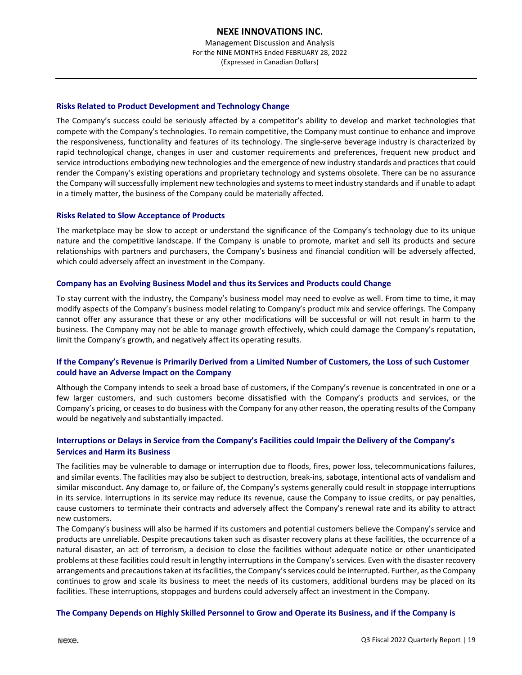## **Risks Related to Product Development and Technology Change**

The Company's success could be seriously affected by a competitor's ability to develop and market technologies that compete with the Company's technologies. To remain competitive, the Company must continue to enhance and improve the responsiveness, functionality and features of its technology. The single‐serve beverage industry is characterized by rapid technological change, changes in user and customer requirements and preferences, frequent new product and service introductions embodying new technologies and the emergence of new industry standards and practices that could render the Company's existing operations and proprietary technology and systems obsolete. There can be no assurance the Company will successfully implement new technologies and systems to meet industry standards and if unable to adapt in a timely matter, the business of the Company could be materially affected.

## **Risks Related to Slow Acceptance of Products**

The marketplace may be slow to accept or understand the significance of the Company's technology due to its unique nature and the competitive landscape. If the Company is unable to promote, market and sell its products and secure relationships with partners and purchasers, the Company's business and financial condition will be adversely affected, which could adversely affect an investment in the Company.

#### **Company has an Evolving Business Model and thus its Services and Products could Change**

To stay current with the industry, the Company's business model may need to evolve as well. From time to time, it may modify aspects of the Company's business model relating to Company's product mix and service offerings. The Company cannot offer any assurance that these or any other modifications will be successful or will not result in harm to the business. The Company may not be able to manage growth effectively, which could damage the Company's reputation, limit the Company's growth, and negatively affect its operating results.

## If the Company's Revenue is Primarily Derived from a Limited Number of Customers, the Loss of such Customer **could have an Adverse Impact on the Company**

Although the Company intends to seek a broad base of customers, if the Company's revenue is concentrated in one or a few larger customers, and such customers become dissatisfied with the Company's products and services, or the Company's pricing, or ceases to do business with the Company for any other reason, the operating results of the Company would be negatively and substantially impacted.

## **Interruptions or Delays in Service from the Company's Facilities could Impair the Delivery of the Company's Services and Harm its Business**

The facilities may be vulnerable to damage or interruption due to floods, fires, power loss, telecommunications failures, and similar events. The facilities may also be subject to destruction, break‐ins, sabotage, intentional acts of vandalism and similar misconduct. Any damage to, or failure of, the Company's systems generally could result in stoppage interruptions in its service. Interruptions in its service may reduce its revenue, cause the Company to issue credits, or pay penalties, cause customers to terminate their contracts and adversely affect the Company's renewal rate and its ability to attract new customers.

The Company's business will also be harmed if its customers and potential customers believe the Company's service and products are unreliable. Despite precautions taken such as disaster recovery plans at these facilities, the occurrence of a natural disaster, an act of terrorism, a decision to close the facilities without adequate notice or other unanticipated problems at these facilities could result in lengthy interruptions in the Company'sservices. Even with the disaster recovery arrangements and precautionstaken at itsfacilities, the Company'sservices could be interrupted. Further, asthe Company continues to grow and scale its business to meet the needs of its customers, additional burdens may be placed on its facilities. These interruptions, stoppages and burdens could adversely affect an investment in the Company.

#### The Company Depends on Highly Skilled Personnel to Grow and Operate its Business, and if the Company is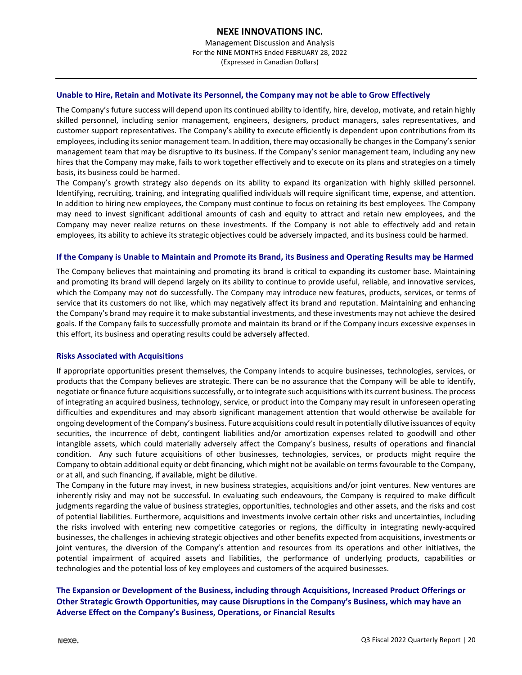Management Discussion and Analysis For the NINE MONTHS Ended FEBRUARY 28, 2022 (Expressed in Canadian Dollars)

#### **Unable to Hire, Retain and Motivate its Personnel, the Company may not be able to Grow Effectively**

The Company's future success will depend upon its continued ability to identify, hire, develop, motivate, and retain highly skilled personnel, including senior management, engineers, designers, product managers, sales representatives, and customer support representatives. The Company's ability to execute efficiently is dependent upon contributions from its employees, including its senior management team. In addition, there may occasionally be changes in the Company's senior management team that may be disruptive to its business. If the Company's senior management team, including any new hires that the Company may make, fails to work together effectively and to execute on its plans and strategies on a timely basis, its business could be harmed.

The Company's growth strategy also depends on its ability to expand its organization with highly skilled personnel. Identifying, recruiting, training, and integrating qualified individuals will require significant time, expense, and attention. In addition to hiring new employees, the Company must continue to focus on retaining its best employees. The Company may need to invest significant additional amounts of cash and equity to attract and retain new employees, and the Company may never realize returns on these investments. If the Company is not able to effectively add and retain employees, its ability to achieve its strategic objectives could be adversely impacted, and its business could be harmed.

#### If the Company is Unable to Maintain and Promote its Brand, its Business and Operating Results may be Harmed

The Company believes that maintaining and promoting its brand is critical to expanding its customer base. Maintaining and promoting its brand will depend largely on its ability to continue to provide useful, reliable, and innovative services, which the Company may not do successfully. The Company may introduce new features, products, services, or terms of service that its customers do not like, which may negatively affect its brand and reputation. Maintaining and enhancing the Company's brand may require it to make substantial investments, and these investments may not achieve the desired goals. If the Company fails to successfully promote and maintain its brand or if the Company incurs excessive expenses in this effort, its business and operating results could be adversely affected.

#### **Risks Associated with Acquisitions**

If appropriate opportunities present themselves, the Company intends to acquire businesses, technologies, services, or products that the Company believes are strategic. There can be no assurance that the Company will be able to identify, negotiate or finance future acquisitions successfully, or to integrate such acquisitions with its current business. The process of integrating an acquired business, technology, service, or product into the Company may result in unforeseen operating difficulties and expenditures and may absorb significant management attention that would otherwise be available for ongoing development of the Company's business. Future acquisitions could result in potentially dilutive issuances of equity securities, the incurrence of debt, contingent liabilities and/or amortization expenses related to goodwill and other intangible assets, which could materially adversely affect the Company's business, results of operations and financial condition. Any such future acquisitions of other businesses, technologies, services, or products might require the Company to obtain additional equity or debt financing, which might not be available on terms favourable to the Company, or at all, and such financing, if available, might be dilutive.

The Company in the future may invest, in new business strategies, acquisitions and/or joint ventures. New ventures are inherently risky and may not be successful. In evaluating such endeavours, the Company is required to make difficult judgments regarding the value of business strategies, opportunities, technologies and other assets, and the risks and cost of potential liabilities. Furthermore, acquisitions and investments involve certain other risks and uncertainties, including the risks involved with entering new competitive categories or regions, the difficulty in integrating newly-acquired businesses, the challenges in achieving strategic objectives and other benefits expected from acquisitions, investments or joint ventures, the diversion of the Company's attention and resources from its operations and other initiatives, the potential impairment of acquired assets and liabilities, the performance of underlying products, capabilities or technologies and the potential loss of key employees and customers of the acquired businesses.

## **The Expansion or Development of the Business, including through Acquisitions, Increased Product Offerings or Other Strategic Growth Opportunities, may cause Disruptions in the Company's Business, which may have an Adverse Effect on the Company's Business, Operations, or Financial Results**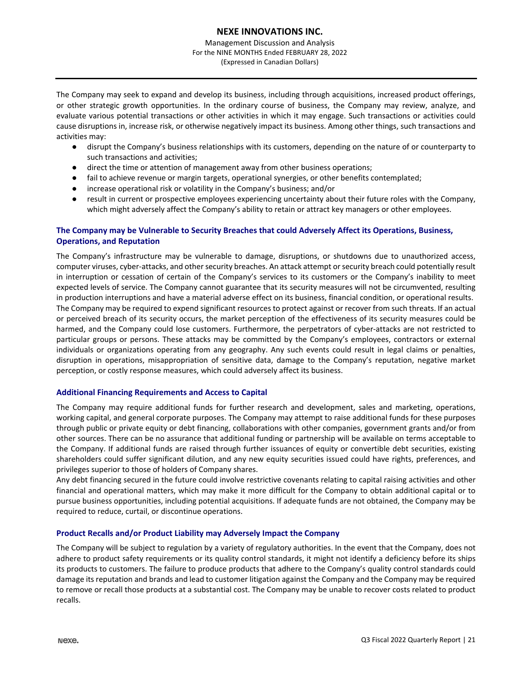Management Discussion and Analysis For the NINE MONTHS Ended FEBRUARY 28, 2022 (Expressed in Canadian Dollars)

The Company may seek to expand and develop its business, including through acquisitions, increased product offerings, or other strategic growth opportunities. In the ordinary course of business, the Company may review, analyze, and evaluate various potential transactions or other activities in which it may engage. Such transactions or activities could cause disruptions in, increase risk, or otherwise negatively impact its business. Among other things, such transactions and activities may:

- disrupt the Company's business relationships with its customers, depending on the nature of or counterparty to such transactions and activities;
- direct the time or attention of management away from other business operations;
- fail to achieve revenue or margin targets, operational synergies, or other benefits contemplated;
- increase operational risk or volatility in the Company's business; and/or
- result in current or prospective employees experiencing uncertainty about their future roles with the Company, which might adversely affect the Company's ability to retain or attract key managers or other employees.

## **The Company may be Vulnerable to Security Breaches that could Adversely Affect its Operations, Business, Operations, and Reputation**

The Company's infrastructure may be vulnerable to damage, disruptions, or shutdowns due to unauthorized access, computer viruses, cyber-attacks, and other security breaches. An attack attempt or security breach could potentially result in interruption or cessation of certain of the Company's services to its customers or the Company's inability to meet expected levels of service. The Company cannot guarantee that its security measures will not be circumvented, resulting in production interruptions and have a material adverse effect on its business, financial condition, or operational results. The Company may be required to expend significant resources to protect against or recover from such threats. If an actual or perceived breach of its security occurs, the market perception of the effectiveness of its security measures could be harmed, and the Company could lose customers. Furthermore, the perpetrators of cyber-attacks are not restricted to particular groups or persons. These attacks may be committed by the Company's employees, contractors or external individuals or organizations operating from any geography. Any such events could result in legal claims or penalties, disruption in operations, misappropriation of sensitive data, damage to the Company's reputation, negative market perception, or costly response measures, which could adversely affect its business.

## **Additional Financing Requirements and Access to Capital**

The Company may require additional funds for further research and development, sales and marketing, operations, working capital, and general corporate purposes. The Company may attempt to raise additional funds for these purposes through public or private equity or debt financing, collaborations with other companies, government grants and/or from other sources. There can be no assurance that additional funding or partnership will be available on terms acceptable to the Company. If additional funds are raised through further issuances of equity or convertible debt securities, existing shareholders could suffer significant dilution, and any new equity securities issued could have rights, preferences, and privileges superior to those of holders of Company shares.

Any debt financing secured in the future could involve restrictive covenants relating to capital raising activities and other financial and operational matters, which may make it more difficult for the Company to obtain additional capital or to pursue business opportunities, including potential acquisitions. If adequate funds are not obtained, the Company may be required to reduce, curtail, or discontinue operations.

## **Product Recalls and/or Product Liability may Adversely Impact the Company**

The Company will be subject to regulation by a variety of regulatory authorities. In the event that the Company, does not adhere to product safety requirements or its quality control standards, it might not identify a deficiency before its ships its products to customers. The failure to produce products that adhere to the Company's quality control standards could damage its reputation and brands and lead to customer litigation against the Company and the Company may be required to remove or recall those products at a substantial cost. The Company may be unable to recover costs related to product recalls.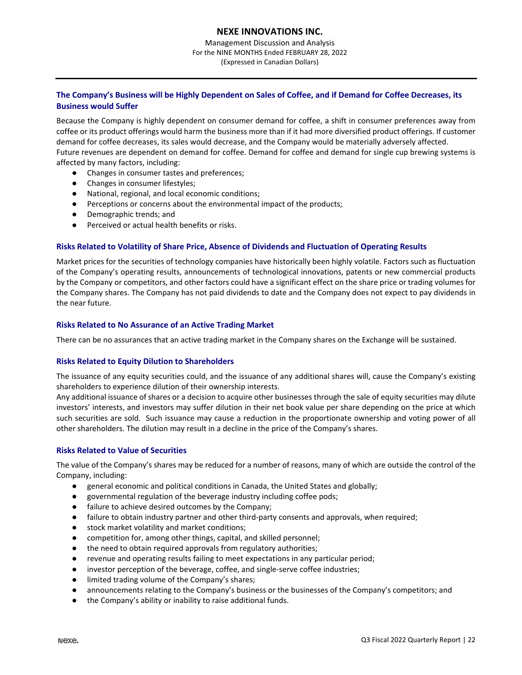Management Discussion and Analysis For the NINE MONTHS Ended FEBRUARY 28, 2022 (Expressed in Canadian Dollars)

## The Company's Business will be Highly Dependent on Sales of Coffee, and if Demand for Coffee Decreases, its **Business would Suffer**

Because the Company is highly dependent on consumer demand for coffee, a shift in consumer preferences away from coffee or its product offerings would harm the business more than if it had more diversified product offerings. If customer demand for coffee decreases, its sales would decrease, and the Company would be materially adversely affected. Future revenues are dependent on demand for coffee. Demand for coffee and demand for single cup brewing systems is affected by many factors, including:

- Changes in consumer tastes and preferences;
- Changes in consumer lifestyles;
- National, regional, and local economic conditions;
- Perceptions or concerns about the environmental impact of the products;
- Demographic trends; and
- Perceived or actual health benefits or risks.

#### **Risks Related to Volatility of Share Price, Absence of Dividends and Fluctuation of Operating Results**

Market prices for the securities of technology companies have historically been highly volatile. Factors such as fluctuation of the Company's operating results, announcements of technological innovations, patents or new commercial products by the Company or competitors, and other factors could have a significant effect on the share price or trading volumes for the Company shares. The Company has not paid dividends to date and the Company does not expect to pay dividends in the near future.

#### **Risks Related to No Assurance of an Active Trading Market**

There can be no assurances that an active trading market in the Company shares on the Exchange will be sustained.

#### **Risks Related to Equity Dilution to Shareholders**

The issuance of any equity securities could, and the issuance of any additional shares will, cause the Company's existing shareholders to experience dilution of their ownership interests.

Any additional issuance of shares or a decision to acquire other businesses through the sale of equity securities may dilute investors' interests, and investors may suffer dilution in their net book value per share depending on the price at which such securities are sold. Such issuance may cause a reduction in the proportionate ownership and voting power of all other shareholders. The dilution may result in a decline in the price of the Company's shares.

## **Risks Related to Value of Securities**

The value of the Company's shares may be reduced for a number of reasons, many of which are outside the control of the Company, including:

- general economic and political conditions in Canada, the United States and globally;
- governmental regulation of the beverage industry including coffee pods;
- failure to achieve desired outcomes by the Company;
- failure to obtain industry partner and other third-party consents and approvals, when required;
- stock market volatility and market conditions;
- competition for, among other things, capital, and skilled personnel;
- the need to obtain required approvals from regulatory authorities;
- revenue and operating results failing to meet expectations in any particular period;
- investor perception of the beverage, coffee, and single-serve coffee industries;
- limited trading volume of the Company's shares;
- announcements relating to the Company's business or the businesses of the Company's competitors; and
- the Company's ability or inability to raise additional funds.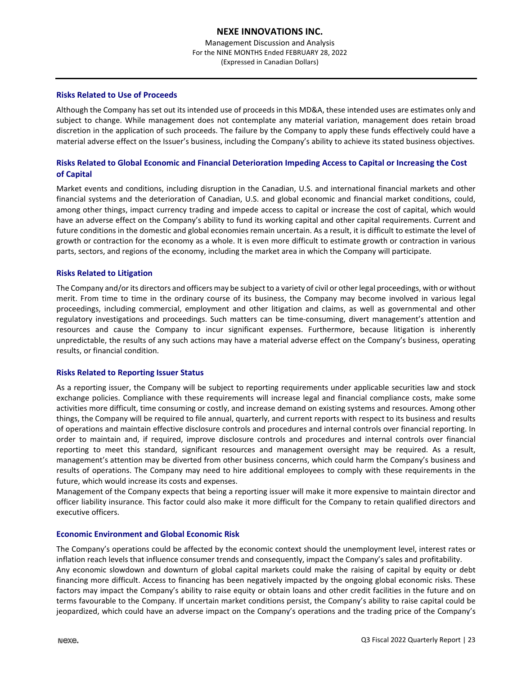Management Discussion and Analysis For the NINE MONTHS Ended FEBRUARY 28, 2022 (Expressed in Canadian Dollars)

#### **Risks Related to Use of Proceeds**

Although the Company has set out its intended use of proceeds in this MD&A, these intended uses are estimates only and subject to change. While management does not contemplate any material variation, management does retain broad discretion in the application of such proceeds. The failure by the Company to apply these funds effectively could have a material adverse effect on the Issuer's business, including the Company's ability to achieve its stated business objectives.

## **Risks Related to Global Economic and Financial Deterioration Impeding Access to Capital or Increasing the Cost of Capital**

Market events and conditions, including disruption in the Canadian, U.S. and international financial markets and other financial systems and the deterioration of Canadian, U.S. and global economic and financial market conditions, could, among other things, impact currency trading and impede access to capital or increase the cost of capital, which would have an adverse effect on the Company's ability to fund its working capital and other capital requirements. Current and future conditions in the domestic and global economies remain uncertain. As a result, it is difficult to estimate the level of growth or contraction for the economy as a whole. It is even more difficult to estimate growth or contraction in various parts, sectors, and regions of the economy, including the market area in which the Company will participate.

#### **Risks Related to Litigation**

The Company and/or its directors and officers may be subject to a variety of civil or otherlegal proceedings, with or without merit. From time to time in the ordinary course of its business, the Company may become involved in various legal proceedings, including commercial, employment and other litigation and claims, as well as governmental and other regulatory investigations and proceedings. Such matters can be time‐consuming, divert management's attention and resources and cause the Company to incur significant expenses. Furthermore, because litigation is inherently unpredictable, the results of any such actions may have a material adverse effect on the Company's business, operating results, or financial condition.

#### **Risks Related to Reporting Issuer Status**

As a reporting issuer, the Company will be subject to reporting requirements under applicable securities law and stock exchange policies. Compliance with these requirements will increase legal and financial compliance costs, make some activities more difficult, time consuming or costly, and increase demand on existing systems and resources. Among other things, the Company will be required to file annual, quarterly, and current reports with respect to its business and results of operations and maintain effective disclosure controls and procedures and internal controls over financial reporting. In order to maintain and, if required, improve disclosure controls and procedures and internal controls over financial reporting to meet this standard, significant resources and management oversight may be required. As a result, management's attention may be diverted from other business concerns, which could harm the Company's business and results of operations. The Company may need to hire additional employees to comply with these requirements in the future, which would increase its costs and expenses.

Management of the Company expects that being a reporting issuer will make it more expensive to maintain director and officer liability insurance. This factor could also make it more difficult for the Company to retain qualified directors and executive officers.

#### **Economic Environment and Global Economic Risk**

The Company's operations could be affected by the economic context should the unemployment level, interest rates or inflation reach levels that influence consumer trends and consequently, impact the Company's sales and profitability. Any economic slowdown and downturn of global capital markets could make the raising of capital by equity or debt financing more difficult. Access to financing has been negatively impacted by the ongoing global economic risks. These factors may impact the Company's ability to raise equity or obtain loans and other credit facilities in the future and on terms favourable to the Company. If uncertain market conditions persist, the Company's ability to raise capital could be jeopardized, which could have an adverse impact on the Company's operations and the trading price of the Company's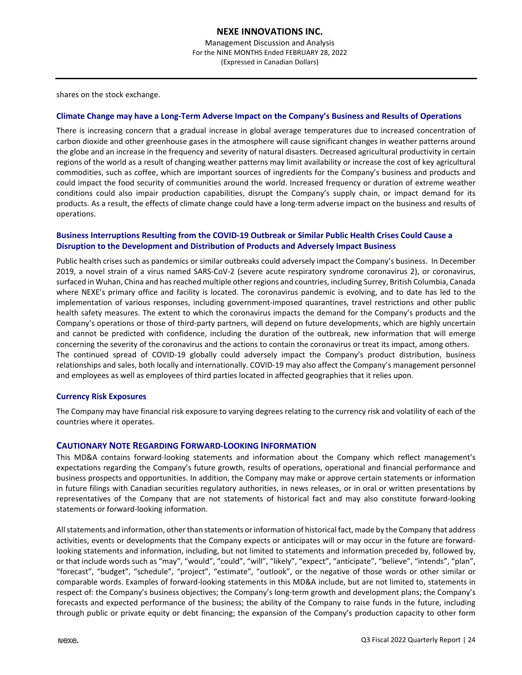shares on the stock exchange.

#### Climate Change may have a Long-Term Adverse Impact on the Company's Business and Results of Operations

There is increasing concern that a gradual increase in global average temperatures due to increased concentration of carbon dioxide and other greenhouse gases in the atmosphere will cause significant changes in weather patterns around the globe and an increase in the frequency and severity of natural disasters. Decreased agricultural productivity in certain regions of the world as a result of changing weather patterns may limit availability or increase the cost of key agricultural commodities, such as coffee, which are important sources of ingredients for the Company's business and products and could impact the food security of communities around the world. Increased frequency or duration of extreme weather conditions could also impair production capabilities, disrupt the Company's supply chain, or impact demand for its products. As a result, the effects of climate change could have a long‐term adverse impact on the business and results of operations.

## **Business Interruptions Resulting from the COVID‐19 Outbreak or Similar Public Health Crises Could Cause a Disruption to the Development and Distribution of Products and Adversely Impact Business**

Public health crises such as pandemics or similar outbreaks could adversely impact the Company's business. In December 2019, a novel strain of a virus named SARS‐CoV‐2 (severe acute respiratory syndrome coronavirus 2), or coronavirus, surfaced in Wuhan, China and hasreached multiple otherregions and countries, including Surrey, British Columbia, Canada where NEXE's primary office and facility is located. The coronavirus pandemic is evolving, and to date has led to the implementation of various responses, including government-imposed quarantines, travel restrictions and other public health safety measures. The extent to which the coronavirus impacts the demand for the Company's products and the Company's operations or those of third‐party partners, will depend on future developments, which are highly uncertain and cannot be predicted with confidence, including the duration of the outbreak, new information that will emerge concerning the severity of the coronavirus and the actions to contain the coronavirus or treat its impact, among others. The continued spread of COVID‐19 globally could adversely impact the Company's product distribution, business relationships and sales, both locally and internationally. COVID‐19 may also affect the Company's management personnel and employees as well as employees of third parties located in affected geographies that it relies upon.

#### **Currency Risk Exposures**

The Company may have financial risk exposure to varying degrees relating to the currency risk and volatility of each of the countries where it operates.

## **CAUTIONARY NOTE REGARDING FORWARD‐LOOKING INFORMATION**

This MD&A contains forward-looking statements and information about the Company which reflect management's expectations regarding the Company's future growth, results of operations, operational and financial performance and business prospects and opportunities. In addition, the Company may make or approve certain statements or information in future filings with Canadian securities regulatory authorities, in news releases, or in oral or written presentations by representatives of the Company that are not statements of historical fact and may also constitute forward‐looking statements or forward‐looking information.

All statements and information, other than statements or information of historical fact, made by the Company that address activities, events or developments that the Company expects or anticipates will or may occur in the future are forward‐ looking statements and information, including, but not limited to statements and information preceded by, followed by, or that include words such as "may", "would", "could", "will", "likely", "expect", "anticipate", "believe", "intends", "plan", "forecast", "budget", "schedule", "project", "estimate", "outlook", or the negative of those words or other similar or comparable words. Examples of forward‐looking statements in this MD&A include, but are not limited to, statements in respect of: the Company's business objectives; the Company's long‐term growth and development plans; the Company's forecasts and expected performance of the business; the ability of the Company to raise funds in the future, including through public or private equity or debt financing; the expansion of the Company's production capacity to other form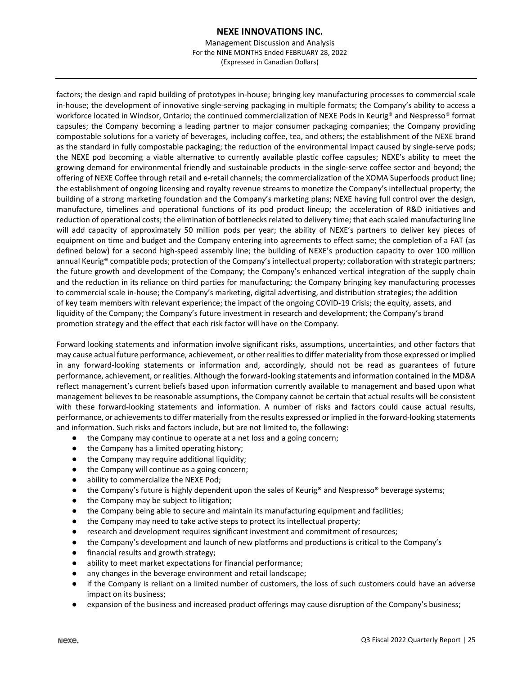Management Discussion and Analysis For the NINE MONTHS Ended FEBRUARY 28, 2022 (Expressed in Canadian Dollars)

factors; the design and rapid building of prototypes in-house; bringing key manufacturing processes to commercial scale in‐house; the development of innovative single‐serving packaging in multiple formats; the Company's ability to access a workforce located in Windsor, Ontario; the continued commercialization of NEXE Pods in Keurig® and Nespresso® format capsules; the Company becoming a leading partner to major consumer packaging companies; the Company providing compostable solutions for a variety of beverages, including coffee, tea, and others; the establishment of the NEXE brand as the standard in fully compostable packaging; the reduction of the environmental impact caused by single-serve pods; the NEXE pod becoming a viable alternative to currently available plastic coffee capsules; NEXE's ability to meet the growing demand for environmental friendly and sustainable products in the single-serve coffee sector and beyond; the offering of NEXE Coffee through retail and e‐retail channels; the commercialization of the XOMA Superfoods product line; the establishment of ongoing licensing and royalty revenue streams to monetize the Company's intellectual property; the building of a strong marketing foundation and the Company's marketing plans; NEXE having full control over the design, manufacture, timelines and operational functions of its pod product lineup; the acceleration of R&D initiatives and reduction of operational costs; the elimination of bottlenecks related to delivery time; that each scaled manufacturing line will add capacity of approximately 50 million pods per year; the ability of NEXE's partners to deliver key pieces of equipment on time and budget and the Company entering into agreements to effect same; the completion of a FAT (as defined below) for a second high‐speed assembly line; the building of NEXE's production capacity to over 100 million annual Keurig® compatible pods; protection of the Company's intellectual property; collaboration with strategic partners; the future growth and development of the Company; the Company's enhanced vertical integration of the supply chain and the reduction in its reliance on third parties for manufacturing; the Company bringing key manufacturing processes to commercial scale in‐house; the Company's marketing, digital advertising, and distribution strategies; the addition of key team members with relevant experience; the impact of the ongoing COVID‐19 Crisis; the equity, assets, and liquidity of the Company; the Company's future investment in research and development; the Company's brand promotion strategy and the effect that each risk factor will have on the Company.

Forward looking statements and information involve significant risks, assumptions, uncertainties, and other factors that may cause actual future performance, achievement, or other realitiesto differ materiality from those expressed or implied in any forward‐looking statements or information and, accordingly, should not be read as guarantees of future performance, achievement, or realities. Although the forward-looking statements and information contained in the MD&A reflect management's current beliefs based upon information currently available to management and based upon what management believes to be reasonable assumptions, the Company cannot be certain that actual results will be consistent with these forward-looking statements and information. A number of risks and factors could cause actual results, performance, or achievements to differ materially from the results expressed or implied in the forward-looking statements and information. Such risks and factors include, but are not limited to, the following:

- the Company may continue to operate at a net loss and a going concern;
- the Company has a limited operating history;
- the Company may require additional liquidity;
- the Company will continue as a going concern;
- ability to commercialize the NEXE Pod;
- the Company's future is highly dependent upon the sales of Keurig® and Nespresso® beverage systems;
- the Company may be subject to litigation;
- the Company being able to secure and maintain its manufacturing equipment and facilities;
- the Company may need to take active steps to protect its intellectual property;
- research and development requires significant investment and commitment of resources;
- the Company's development and launch of new platforms and productions is critical to the Company's
- financial results and growth strategy;
- ability to meet market expectations for financial performance;
- any changes in the beverage environment and retail landscape;
- if the Company is reliant on a limited number of customers, the loss of such customers could have an adverse impact on its business;
- expansion of the business and increased product offerings may cause disruption of the Company's business;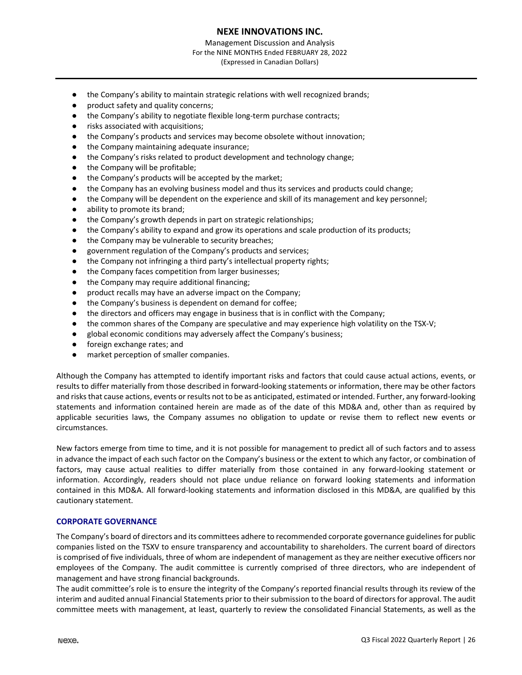Management Discussion and Analysis For the NINE MONTHS Ended FEBRUARY 28, 2022 (Expressed in Canadian Dollars)

- the Company's ability to maintain strategic relations with well recognized brands;
- product safety and quality concerns;
- the Company's ability to negotiate flexible long-term purchase contracts;
- risks associated with acquisitions;
- the Company's products and services may become obsolete without innovation;
- the Company maintaining adequate insurance;
- the Company's risks related to product development and technology change;
- the Company will be profitable;
- the Company's products will be accepted by the market;
- the Company has an evolving business model and thus its services and products could change;
- the Company will be dependent on the experience and skill of its management and key personnel;
- ability to promote its brand:
- the Company's growth depends in part on strategic relationships;
- the Company's ability to expand and grow its operations and scale production of its products;
- the Company may be vulnerable to security breaches;
- government regulation of the Company's products and services;
- the Company not infringing a third party's intellectual property rights;
- the Company faces competition from larger businesses;
- the Company may require additional financing;
- product recalls may have an adverse impact on the Company;
- the Company's business is dependent on demand for coffee;
- the directors and officers may engage in business that is in conflict with the Company;
- the common shares of the Company are speculative and may experience high volatility on the TSX-V;
- global economic conditions may adversely affect the Company's business;
- foreign exchange rates; and
- market perception of smaller companies.

Although the Company has attempted to identify important risks and factors that could cause actual actions, events, or results to differ materially from those described in forward‐looking statements or information, there may be other factors and risks that cause actions, events or results not to be as anticipated, estimated or intended. Further, any forward-looking statements and information contained herein are made as of the date of this MD&A and, other than as required by applicable securities laws, the Company assumes no obligation to update or revise them to reflect new events or circumstances.

New factors emerge from time to time, and it is not possible for management to predict all of such factors and to assess in advance the impact of each such factor on the Company's business or the extent to which any factor, or combination of factors, may cause actual realities to differ materially from those contained in any forward-looking statement or information. Accordingly, readers should not place undue reliance on forward looking statements and information contained in this MD&A. All forward‐looking statements and information disclosed in this MD&A, are qualified by this cautionary statement.

#### **CORPORATE GOVERNANCE**

The Company's board of directors and its committees adhere to recommended corporate governance guidelines for public companies listed on the TSXV to ensure transparency and accountability to shareholders. The current board of directors is comprised of five individuals, three of whom are independent of management as they are neither executive officers nor employees of the Company. The audit committee is currently comprised of three directors, who are independent of management and have strong financial backgrounds.

The audit committee's role is to ensure the integrity of the Company's reported financial results through its review of the interim and audited annual Financial Statements prior to their submission to the board of directors for approval. The audit committee meets with management, at least, quarterly to review the consolidated Financial Statements, as well as the